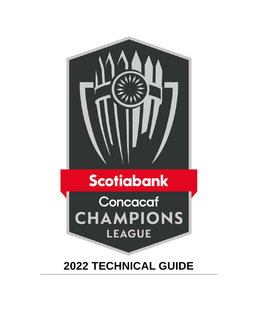

# **Scotiabank**

Concacaf CHAMPIONS **LEAGUE** 

# **2022 TECHNICAL GUIDE**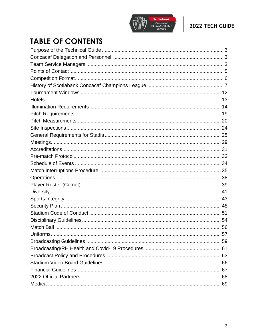

# **TABLE OF CONTENTS**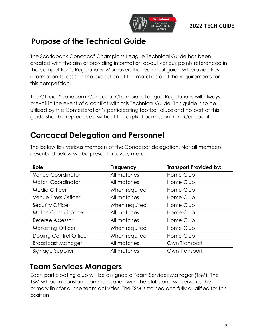

# **Purpose of the Technical Guide**

The Scotiabank Concacaf Champions League Technical Guide has been created with the aim of providing information about various points referenced in the competition's Regulations. Moreover, the technical guide will provide key information to assist in the execution of the matches and the requirements for this competition.

The Official Scotiabank Concacaf Champions League Regulations will always prevail in the event of a conflict with this Technical Guide. This guide is to be utilized by the Confederation's participating football clubs and no part of this guide shall be reproduced without the explicit permission from Concacaf.

# **Concacaf Delegation and Personnel**

| Role                      | <b>Frequency</b> | <b>Transport Provided by:</b> |
|---------------------------|------------------|-------------------------------|
| <b>Venue Coordinator</b>  | All matches      | Home Club                     |
| <b>Match Coordinator</b>  | All matches      | Home Club                     |
| <b>Media Officer</b>      | When required    | Home Club                     |
| Venue Press Officer       | All matches      | Home Club                     |
| <b>Security Officer</b>   | When required    | Home Club                     |
| <b>Match Commissioner</b> | All matches      | Home Club                     |
| Referee Assessor          | All matches      | Home Club                     |
| <b>Marketing Officer</b>  | When required    | Home Club                     |
| Doping Control Officer    | When required    | Home Club                     |
| <b>Broadcast Manager</b>  | All matches      | Own Transport                 |
| Signage Supplier          | All matches      | Own Transport                 |

The below lists various members of the Concacaf delegation. Not all members described below will be present at every match.

# **Team Services Managers**

Each participating club will be assigned a Team Services Manager (TSM). The TSM will be in constant communication with the clubs and will serve as the primary link for all the team activities. The TSM is trained and fully qualified for this position.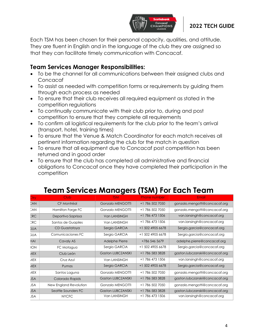

Each TSM has been chosen for their personal capacity, qualities, and attitude. They are fluent in English and in the language of the club they are assigned so that they can facilitate timely communication with Concacaf.

# **Team Services Manager Responsibilities:**

- To be the channel for all communications between their assigned clubs and Concacaf
- To assist as needed with competition forms or requirements by guiding them through each process as needed
- To ensure that their club receives all required equipment as stated in the competition regulations
- To continually communicate with their club prior to, during and post competition to ensure that they complete all requirements
- To confirm all logistical requirements for the club prior to the team's arrival (transport, hotel, training times)
- To ensure that the Venue & Match Coordinator for each match receives all pertinent information regarding the club for the match in question
- To ensure that all equipment due to Concacaf post competition has been returned and in good order
- To ensure that the club has completed all administrative and financial obligations to Concacaf once they have completed their participation in the competition

| Dtry:      | <b>Club</b>            | <b>TSM</b>               | <b>Phone number</b> | Email                          |
|------------|------------------------|--------------------------|---------------------|--------------------------------|
| CAN        | CF Montréal            | <b>Gonzalo MENGOTTI</b>  | +1 786 502 7050     | gonzalo.mengotti@concacaf.org  |
| CAN        | Hamilton Forge FC      | Gonzalo MENGOTTI         | +1 786 502 7050     | gonzalo.mengotti@concacaf.org  |
| CRC        | Deportivo Saprissa     | Van LANSINGH             | +1 786 473 1506     | van.lansingh@concacaf.org      |
| CRC        | Santos de Guapiles     | Van LANSINGH             | +1 786 473 1506     | van.lansingh@concacaf.org      |
| <b>GUA</b> | CD Guastatoya          | Sergio GARCIA            | +1 502 4905 6678    | Sergio.garcia@concacaf.org     |
| <b>GUA</b> | Comunicaciones FC      | Sergio GARCIA            | +1 502 4905 6678    | Sergio.garcia@concacaf.org     |
| HAI        | Cavaly AS              | Adelphe Pierre           | +786 546 5679       | adelphe.pierre@concacaf.org    |
| <b>HON</b> | FC Motagua             | Sergio GARCIA            | +1 502 4905 6678    | Sergio.garcia@concacaf.org     |
| <b>MEX</b> | Club León              | <b>Gaston LUBCZANSKI</b> | +1 786 583 3828     | gaston.lubczanski@concacaf.org |
| <b>MEX</b> | Cruz Azul              | Van LANSINGH             | +1 786 473 1506     | van.lansingh@concacaf.org      |
| <b>MEX</b> | Pumas                  | Sergio GARCIA            | +1 502 4905 6678    | Sergio.garcia@concacaf.org     |
| <b>MEX</b> | Santos Laguna          | Gonzalo MENGOTTI         | +1 786 502 7050     | gonzalo.mengotti@concacaf.org  |
| <b>JSA</b> | Colorado Rapids        | <b>Gaston LUBCZANSKI</b> | +1 786 583 3828     | gaston.lubczanski@concacaf.org |
| <b>JSA</b> | New England Revolution | Gonzalo MENGOTTI         | +1 786 502 7050     | gonzalo.mengotti@concacaf.org  |
| <b>JSA</b> | Seattle Sounders FC    | <b>Gaston LUBCZANSKI</b> | +1 786 583 3828     | gaston.lubczanski@concacaf.org |
| <b>JSA</b> | <b>NYCFC</b>           | Van LANSINGH             | +1 786 473 1506     | van.lansingh@concacaf.org      |

# **Team Services Managers (TSM) For Each Team**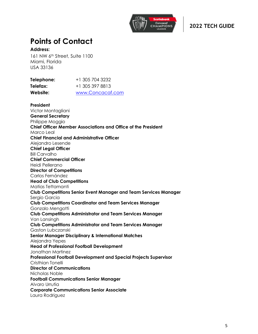

# **Points of Contact**

#### **Address:**

161 NW 6th Street, Suite 1100 Miami, Florida USA 33136

| Telephone: | +1 305 704 3232  |
|------------|------------------|
| Telefax:   | +1 305 397 8813  |
| Website:   | www.Concacaf.com |

**President** Victor Montagliani **General Secretary**  Philippe Moggio **Chief Officer Member Associations and Office of the President** Marco Leal **Chief Financial and Administrative Officer**  Alejandro Lesende **Chief Legal Officer** Bill Carvalho **Chief Commercial Officer** Heidi Pellerano **Director of Competitions**  Carlos Fernández **Head of Club Competitions** Matias Tettamanti **Club Competitions Senior Event Manager and Team Services Manager** Sergio Garcia **Club Competitions Coordinator and Team Services Manager** Gonzalo Mengotti **Club Competitions Administrator and Team Services Manager** Van Lansingh **Club Competitions Administrator and Team Services Manager** Gaston Lubczanski **Senior Manager Disciplinary & International Matches** Alejandra Yepes **Head of Professional Football Development** Jonathan Martinez **Professional Football Development and Special Projects Supervisor** Cristhian Tonelli **Director of Communications** Nicholas Noble **Football Communications Senior Manager**  Alvaro Urrutia **Corporate Communications Senior Associate** Laura Rodriguez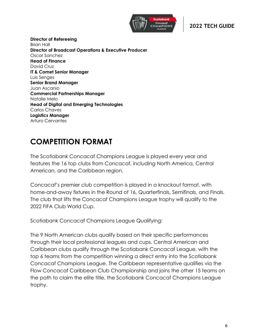

**Director of Refereeing** Brian Hall **Director of Broadcast Operations & Executive Producer** Oscar Sanchez **Head of Finance** David Cruz **IT & Comet Senior Manager** Luis Senges **Senior Brand Manager** Juan Ascanio **Commercial Partnerships Manager** Natalie Melo **Head of Digital and Emerging Technologies** Carlos Chaves **Logistics Manager** Arturo Cervantes

# **COMPETITION FORMAT**

The Scotiabank Concacaf Champions League is played every year and features the 16 top clubs from Concacaf, including North America, Central American, and the Caribbean region.

Concacaf's premier club competition is played in a knockout format, with home-and-away fixtures in the Round of 16, Quarterfinals, Semifinals, and Finals. The club that lifts the Concacaf Champions League trophy will qualify to the 2022 FIFA Club World Cup.

Scotiabank Concacaf Champions League Qualifying:

The 9 North American clubs qualify based on their specific performances through their local professional leagues and cups. Central American and Caribbean clubs qualify through the Scotiabank Concacaf League, with the top 6 teams from the competition winning a direct entry into the Scotiabank Concacaf Champions League. The Caribbean representative qualifies via the Flow Concacaf Caribbean Club Championship and joins the other 15 teams on the path to claim the elite title, the Scotiabank Concacaf Champions League trophy.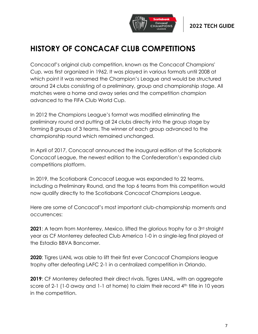

# **HISTORY OF CONCACAF CLUB COMPETITIONS**

Concacaf's original club competition, known as the Concacaf Champions' Cup, was first organized in 1962. It was played in various formats until 2008 at which point it was renamed the Champion's League and would be structured around 24 clubs consisting of a preliminary, group and championship stage. All matches were a home and away series and the competition champion advanced to the FIFA Club World Cup.

In 2012 the Champions League's format was modified eliminating the preliminary round and putting all 24 clubs directly into the group stage by forming 8 groups of 3 teams. The winner of each group advanced to the championship round which remained unchanged.

In April of 2017, Concacaf announced the inaugural edition of the Scotiabank Concacaf League, the newest edition to the Confederation's expanded club competitions platform.

In 2019, the Scotiabank Concacaf League was expanded to 22 teams, including a Preliminary Round, and the top 6 teams from this competition would now qualify directly to the Scotiabank Concacaf Champions League.

Here are some of Concacaf's most important club-championship moments and occurrences:

**2021**: A team from Monterrey, Mexico, lifted the glorious trophy for a 3rd straight year as CF Monterrey defeated Club America 1-0 in a single-leg final played at the Estadio BBVA Bancomer.

**2020**: Tigres UANL was able to lift their first ever Concacaf Champions league trophy after defeating LAFC 2-1 in a centralized competition in Orlando.

**2019**: CF Monterrey defeated their direct rivals, Tigres UANL, with an aggregate score of 2-1 (1-0 away and 1-1 at home) to claim their record 4<sup>th</sup> title in 10 years in the competition.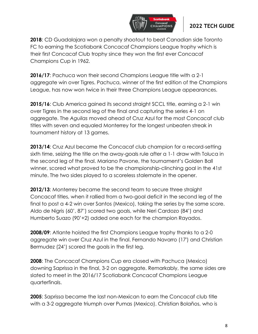

**2018**: CD Guadalajara won a penalty shootout to beat Canadian side Toronto FC to earning the Scotiabank Concacaf Champions League trophy which is their first Concacaf Club trophy since they won the first ever Concacaf Champions Cup in 1962.

**2016/17**: Pachuca won their second Champions League title with a 2-1 aggregate win over Tigres. Pachuca, winner of the first edition of the Champions League, has now won twice in their three Champions League appearances.

**2015/16:** Club America gained its second straight SCCL title, earning a 2-1 win over Tigres in the second leg of the final and capturing the series 4-1 on aggregate. The *Aguilas* moved ahead of Cruz Azul for the most Concacaf club titles with seven and equaled Monterrey for the longest unbeaten streak in tournament history at 13 games.

**2013/14**: Cruz Azul became the Concacaf club champion for a record-setting sixth time, seizing the title on the away-goals rule after a 1-1 draw with Toluca in the second leg of the final. Mariano Pavone, the tournament's Golden Ball winner, scored what proved to be the championship-clinching goal in the 41st minute. The two sides played to a scoreless stalemate in the opener.

**2012/13**: Monterrey became the second team to secure three straight Concacaf titles, when it rallied from a two-goal deficit in the second leg of the final to post a 4-2 win over Santos (Mexico), taking the series by the same score. Aldo de Nigris (60', 87') scored two goals, while Neri Cardozo (84') and Humberto Suazo (90'+2) added one each for the champion Rayados.

**2008/09**: Atlante hoisted the first Champions League trophy thanks to a 2-0 aggregate win over Cruz Azul in the final. Fernando Navarro (17') and Christian Bermudez (24') scored the goals in the first leg.

**2008**: The Concacaf Champions Cup era closed with Pachuca (Mexico) downing Saprissa in the final, 3-2 on aggregate. Remarkably, the same sides are slated to meet in the 2016/17 Scotiabank Concacaf Champions League quarterfinals.

**2005**: Saprissa became the last non-Mexican to earn the Concacaf club title with a 3-2 aggregate triumph over Pumas (Mexico). Christian Bolaños, who is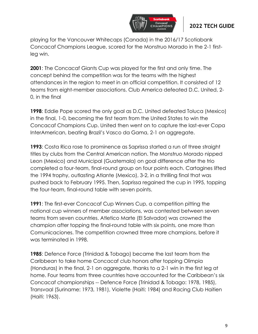

playing for the Vancouver Whitecaps (Canada) in the 2016/17 Scotiabank Concacaf Champions League, scored for the Monstruo Morado in the 2-1 firstleg win.

**2001**: The Concacaf Giants Cup was played for the first and only time. The concept behind the competition was for the teams with the highest attendances in the region to meet in an official competition. It consisted of 12 teams from eight-member associations. Club America defeated D.C. United, 2- 0, in the final

**1998**: Eddie Pope scored the only goal as D.C. United defeated Toluca (Mexico) in the final, 1-0, becoming the first team from the United States to win the Concacaf Champions Cup. United then went on to capture the last-ever Copa InterAmerican, beating Brazil's Vasco da Gama, 2-1 on aggregate.

**1993**: Costa Rica rose to prominence as Saprissa started a run of three straight titles by clubs from the Central American nation. The Monstruo Morado nipped Leon (Mexico) and Municipal (Guatemala) on goal difference after the trio completed a four-team, final-round group on four points each. Cartagines lifted the 1994 trophy, outlasting Atlante (Mexico), 3-2, in a thrilling final that was pushed back to February 1995. Then, Saprissa regained the cup in 1995, topping the four-team, final-round table with seven points.

**1991**: The first-ever Concacaf Cup Winners Cup, a competition pitting the national cup winners of member associations, was contested between seven teams from seven countries. Atletico Marte (El Salvador) was crowned the champion after topping the final-round table with six points, one more than Comunicaciones. The competition crowned three more champions, before it was terminated in 1998.

**1985**: Defence Force (Trinidad & Tobago) became the last team from the Caribbean to take home Concacaf club honors after topping Olimpia (Honduras) in the final, 2-1 on aggregate, thanks to a 2-1 win in the first leg at home. Four teams from three countries have accounted for the Caribbean's six Concacaf championships -- Defence Force (Trinidad & Tobago: 1978, 1985), Transvaal (Suriname: 1973, 1981), Violette (Haiti: 1984) and Racing Club Haitien (Haiti: 1963).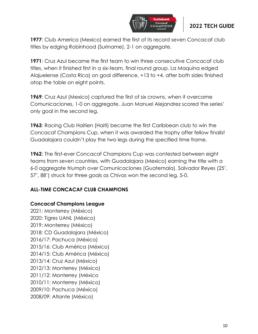

**1977**: Club America (Mexico) earned the first of its record seven Concacaf club titles by edging Robinhood (Suriname), 2-1 on aggregate.

**1971**: Cruz Azul became the first team to win three consecutive Concacaf club titles, when it finished first in a six-team, final round group. La Maquina edged Alajuelense (Costa Rica) on goal difference, +13 to +4, after both sides finished atop the table on eight points.

**1969**: Cruz Azul (Mexico) captured the first of six crowns, when it overcame Comunicaciones, 1-0 on aggregate. Juan Manuel Alejandrez scored the series' only goal in the second leg.

**1963**: Racing Club Haitien (Haiti) became the first Caribbean club to win the Concacaf Champions Cup, when it was awarded the trophy after fellow finalist Guadalajara couldn't play the two legs during the specified time frame.

**1962**: The first-ever Concacaf Champions Cup was contested between eight teams from seven countries, with Guadalajara (Mexico) earning the title with a 6-0 aggregate triumph over Comunicaciones (Guatemala). Salvador Reyes (25', 57', 88') struck for three goals as Chivas won the second leg, 5-0.

#### **ALL-TIME CONCACAF CLUB CHAMPIONS**

#### **Concacaf Champions League**

2021: Monterrey (México) 2020: Tigres UANL (México) 2019: Monterrey (México) 2018: CD Guadalajara (México) 2016/17: Pachuca (México) 2015/16: Club América (México) 2014/15: Club América (México) 2013/14: Cruz Azul (México) 2012/13: Monterrey (México) 2011/12: Monterrey (México 2010/11: Monterrey (México) 2009/10: Pachuca (México) 2008/09: Atlante (México)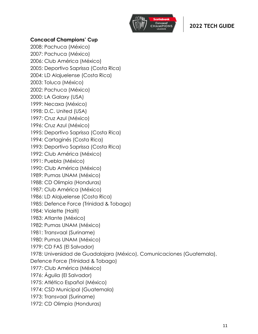

#### **Concacaf Champions' Cup**

2008: Pachuca (México) 2007: Pachuca (México) 2006: Club América (México) 2005: Deportivo Saprissa (Costa Rica) 2004: LD Alajuelense (Costa Rica) 2003: Toluca (México) 2002: Pachuca (México) 2000: LA Galaxy (USA) 1999: Necaxa (México) 1998: D.C. United (USA) 1997: Cruz Azul (México) 1996: Cruz Azul (México) 1995: Deportivo Saprissa (Costa Rica) 1994: Cartaginés (Costa Rica) 1993: Deportivo Saprissa (Costa Rica) 1992: Club América (México) 1991: Puebla (México) 1990: Club América (México) 1989: Pumas UNAM (México) 1988: CD Olimpia (Honduras) 1987: Club América (México) 1986: LD Alajuelense (Costa Rica) 1985: Defence Force (Trinidad & Tobago) 1984: Violette (Haiti) 1983: Atlante (México) 1982: Pumas UNAM (México) 1981: Transvaal (Suriname) 1980: Pumas UNAM (México) 1979: CD FAS (El Salvador) 1978: Universidad de Guadalajara (México), Comunicaciones (Guatemala), Defence Force (Trinidad & Tobago) 1977: Club América (México) 1976: Águila (El Salvador) 1975: Atlético Español (México) 1974: CSD Municipal (Guatemala) 1973: Transvaal (Suriname) 1972: CD Olimpia (Honduras)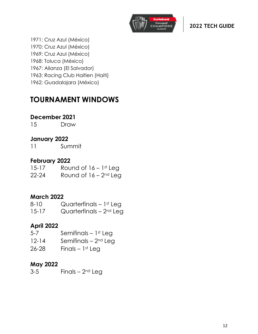

1971: Cruz Azul (México) 1970: Cruz Azul (México) 1969: Cruz Azul (México) 1968: Toluca (México) 1967: Alianza (El Salvador) 1963: Racing Club Haitien (Haiti) 1962: Guadalajara (México)

# **TOURNAMENT WINDOWS**

# **December 2021**

15 Draw

# **January 2022**

11 Summit

#### **February 2022**

15-17 Round of 16 – 1st Leg 22-24 Round of  $16 - 2$ <sup>nd</sup> Leg

### **March 2022**

| 8-10      | Quarterfinals $-1$ <sup>st</sup> Leg |
|-----------|--------------------------------------|
| $15 - 17$ | Quarterfinals $-2nd$ Leg             |

### **April 2022**

5-7 Semifinals – 1st Leg 12-14 Semifinals – 2nd Leg  $26-28$  Finals – 1st Leg

# **May 2022**

 $3-5$  Finals –  $2<sup>nd</sup>$  Leg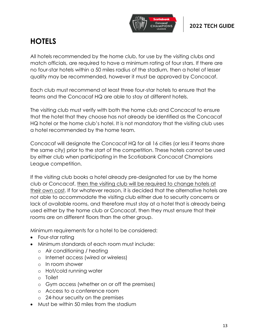

# **HOTELS**

All hotels recommended by the home club, for use by the visiting clubs and match officials, are required to have a minimum rating of four stars. If there are no four-star hotels within a 50 miles radius of the stadium, then a hotel of lesser quality may be recommended, however it must be approved by Concacaf.

Each club must recommend at least three four-star hotels to ensure that the teams and the Concacaf HQ are able to stay at different hotels.

The visiting club must verify with both the home club and Concacaf to ensure that the hotel that they choose has not already be identified as the Concacaf HQ hotel or the home club's hotel. It is not mandatory that the visiting club uses a hotel recommended by the home team.

Concacaf will designate the Concacaf HQ for all 16 cities (or less if teams share the same city) prior to the start of the competition. These hotels cannot be used by either club when participating in the Scotiabank Concacaf Champions League competition.

If the visiting club books a hotel already pre-designated for use by the home club or Concacaf, then the visiting club will be required to change hotels at their own cost. If for whatever reason, it is decided that the alternative hotels are not able to accommodate the visiting club either due to security concerns or lack of available rooms, and therefore must stay at a hotel that is already being used either by the home club or Concacaf, then they must ensure that their rooms are on different floors than the other group.

Minimum requirements for a hotel to be considered:

- Four-star rating
- Minimum standards of each room must include:
	- o Air conditioning / heating
	- o Internet access (wired or wireless)
	- o In room shower
	- o Hot/cold running water
	- o Toilet
	- o Gym access (whether on or off the premises)
	- o Access to a conference room
	- o 24-hour security on the premises
- Must be within 50 miles from the stadium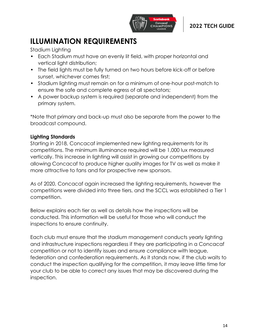

# **ILLUMINATION REQUIREMENTS**

Stadium Liahting

- Each Stadium must have an evenly lit field, with proper horizontal and vertical light distribution;
- The field lights must be fully turned on two hours before kick-off or before sunset, whichever comes first;
- Stadium lighting must remain on for a minimum of one-hour post-match to ensure the safe and complete egress of all spectators;
- A power backup system is required (separate and independent) from the primary system.

\*Note that primary and back-up must also be separate from the power to the broadcast compound.

# **Lighting Standards**

Starting in 2018, Concacaf implemented new lighting requirements for its competitions. The minimum illuminance required will be 1,000 lux measured vertically. This increase in lighting will assist in growing our competitions by allowing Concacaf to produce higher quality images for TV as well as make it more attractive to fans and for prospective new sponsors.

As of 2020, Concacaf again increased the lighting requirements, however the competitions were divided into three tiers, and the SCCL was established a Tier 1 competition.

Below explains each tier as well as details how the inspections will be conducted. This information will be useful for those who will conduct the inspections to ensure continuity.

Each club must ensure that the stadium management conducts yearly lighting and infrastructure inspections regardless if they are participating in a Concacaf competition or not to identify issues and ensure compliance with league, federation and confederation requirements. As it stands now, if the club waits to conduct the inspection qualifying for the competition, it may leave little time for your club to be able to correct any issues that may be discovered during the inspection.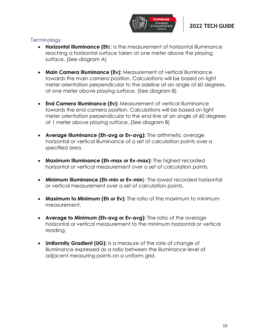

#### Terminology:

- **Horizontal Illuminance (Eh**): Is the measurement of horizontal illuminance reaching a horizontal surface taken at one meter above the playing surface. (See diagram A)
- **Main Camera Illuminance (Ev):** Measurement of vertical illuminance towards the main camera position. Calculations will be based on light meter orientation perpendicular to the sideline at an angle of 60 degrees, at one meter above playing surface. (See diagram B)
- **End Camera Illuminance (Ev):** Measurement of vertical illuminance towards the end camera position. Calculations will be based on light meter orientation perpendicular to the end line at an angle of 60 degrees at 1 meter above playing surface. (See diagram B)
- **Average Illuminance (Eh-avg or Ev-avg):** The arithmetic average horizontal or vertical illuminance of a set of calculation points over a specified area.
- **Maximum Illuminance (Eh-max or Ev-max):** The highest recorded horizontal or vertical measurement over a set of calculation points.
- **Minimum Illuminance (Eh-min or Ev-min**): The lowest recorded horizontal or vertical measurement over a set of calculation points.
- **Maximum to Minimum (Eh or Ev):** The ratio of the maximum to minimum measurement.
- **Average to Minimum (Eh-avg or Ev-avg):** The ratio of the average horizontal or vertical measurement to the minimum horizontal or vertical reading.
- **Uniformity Gradient (UG):** Is a measure of the rate of change of illuminance expressed as a ratio between the illuminance level of adjacent measuring points on a uniform grid.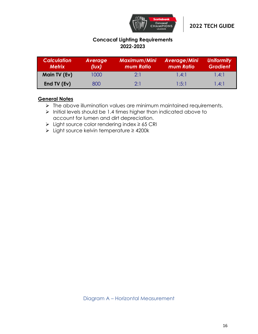

#### **Concacaf Lighting Requirements 2022-2023**

| <b>Calculation</b><br><b>Metrix</b> | Average<br>(lux) | <b>Maximum/Mini</b><br>mum Ratio | Average/Mini<br>mum Ratio | <b>Uniformity</b><br><b>Gradient</b> |
|-------------------------------------|------------------|----------------------------------|---------------------------|--------------------------------------|
| Main TV (Ev)                        | 1000             | 2:1                              | 1.4:1                     | 1.4:1                                |
| End TV (Ev)                         | 800              | 2.1                              | 1:5:1                     | 1.4:1                                |

#### **General Notes**

- ➢ The above illumination values are minimum maintained requirements.
- ➢ Initial levels should be 1.4 times higher than indicated above to account for lumen and dirt depreciation.
- ➢ Light source color rendering index ≥ 65 CRI
- ➢ Light source kelvin temperature ≥ 4200k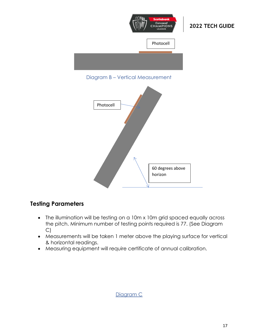

#### Diagram B – Vertical Measurement



# **Testing Parameters**

- The illumination will be testing on a 10m x 10m grid spaced equally across the pitch. Minimum number of testing points required is 77. (See Diagram C)
- Measurements will be taken 1 meter above the playing surface for vertical & horizontal readings.
- Measuring equipment will require certificate of annual calibration.

#### Diagram C

**2022 TECH GUIDE**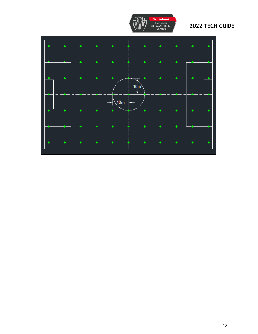

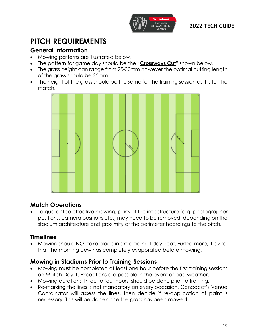

# **PITCH REQUIREMENTS**

# **General Information**

- Mowing patterns are illustrated below.
- The pattern for game day should be the "**Crossways Cut**" shown below.
- The grass height can range from 25-30mm however the optimal cutting length of the grass should be 25mm.
- The height of the grass should be the same for the training session as it is for the match.



# **Match Operations**

• To guarantee effective mowing, parts of the infrastructure (e.g. photographer positions, camera positions etc.) may need to be removed, depending on the stadium architecture and proximity of the perimeter hoardings to the pitch.

# **Timelines**

• Mowing should NOT take place in extreme mid-day heat. Furthermore, it is vital that the morning dew has completely evaporated before mowing.

# **Mowing in Stadiums Prior to Training Sessions**

- Mowing must be completed at least one hour before the first training sessions on Match Day-1. Exceptions are possible in the event of bad weather.
- Mowing duration: three to four hours, should be done prior to training.
- Re-marking the lines is not mandatory on every occasion. Concacaf's Venue Coordinator will assess the lines, then decide if re-application of paint is necessary. This will be done once the grass has been mowed.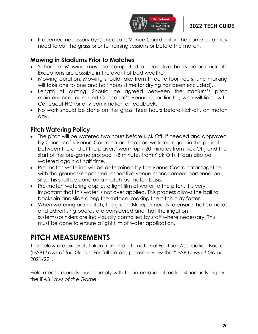

• If deemed necessary by Concacaf's Venue Coordinator, the home club may need to cut the grass prior to training sessions or before the match.

### **Mowing in Stadiums Prior to Matches**

- Schedule: Mowing must be completed at least five hours before kick-off. Exceptions are possible in the event of bad weather.
- Mowing duration: Mowing should take from three to four hours. Line marking will take one to one and half hours (time for drying has been excluded).
- Length of cutting: Should be agreed between the stadium's pitch maintenance team and Concacaf's Venue Coordinator, who will liaise with Concacaf HQ for any confirmation or feedback.
- No work should be done on the grass three hours before kick-off, on match day.

# **Pitch Watering Policy**

- The pitch will be watered two hours before Kick Off. If needed and approved by Concacaf's Venue Coordinator, it can be watered again in the period between the end of the players' warm up (-20 minutes from Kick Off) and the start of the pre-game protocol (-8 minutes from Kick Off). It can also be watered again at half time.
- Pre-match watering will be determined by the Venue Coordinator together with the groundskeeper and respective venue management personnel on site. This shall be done on a match-by-match basis.
- Pre-match watering applies a light film of water to the pitch. It is very important that this water is not over applied. This process allows the ball to backspin and slide along the surface, making the pitch play faster.
- When watering pre-match, the groundskeeper needs to ensure that cameras and advertising boards are considered and that the irrigation system/sprinklers are individually controlled by staff where necessary. This must be done to ensure a light film of water application.

# **PITCH MEASUREMENTS**

The below are excerpts taken from the International Football Association Board (IFAB) *Laws of the Game.* For full details, please review the "IFAB *Laws of Game*  2021/22".

Field measurements must comply with the international match standards as per the IFAB *Laws of the Game*.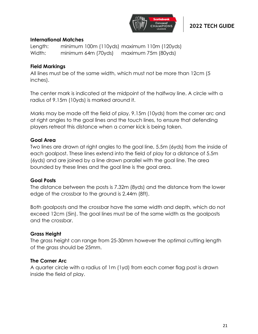

#### **International Matches**

Length: minimum 100m (110yds) maximum 110m (120yds) Width: minimum 64m (70yds) maximum 75m (80yds)

#### **Field Markings**

All lines must be of the same width, which must not be more than 12cm (5 inches).

The center mark is indicated at the midpoint of the halfway line. A circle with a radius of 9.15m (10yds) is marked around it.

Marks may be made off the field of play, 9.15m (10yds) from the corner arc and at right angles to the goal lines and the touch lines, to ensure that defending players retreat this distance when a corner kick is being taken.

#### **Goal Area**

Two lines are drawn at right angles to the goal line, 5.5m (6yds) from the inside of each goalpost. These lines extend into the field of play for a distance of 5.5m (6yds) and are joined by a line drawn parallel with the goal line. The area bounded by these lines and the goal line is the goal area.

#### **Goal Posts**

The distance between the posts is 7.32m (8yds) and the distance from the lower edge of the crossbar to the ground is 2.44m (8ft).

Both goalposts and the crossbar have the same width and depth, which do not exceed 12cm (5in). The goal lines must be of the same width as the goalposts and the crossbar.

#### **Grass Height**

The grass height can range from 25-30mm however the optimal cutting length of the grass should be 25mm.

#### **The Corner Arc**

A quarter circle with a radius of 1m (1yd) from each corner flag post is drawn inside the field of play.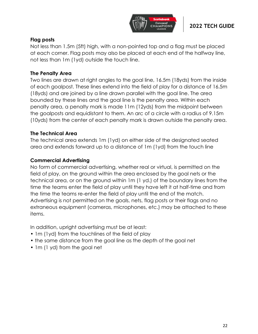

#### **Flag posts**

Not less than 1.5m (5ft) high, with a non-pointed top and a flag must be placed at each corner. Flag posts may also be placed at each end of the halfway line, not less than 1m (1yd) outside the touch line.

#### **The Penalty Area**

Two lines are drawn at right angles to the goal line, 16.5m (18yds) from the inside of each goalpost. These lines extend into the field of play for a distance of 16.5m (18yds) and are joined by a line drawn parallel with the goal line. The area bounded by these lines and the goal line is the penalty area. Within each penalty area, a penalty mark is made 11m (12yds) from the midpoint between the goalposts and equidistant to them. An arc of a circle with a radius of 9.15m (10yds) from the center of each penalty mark is drawn outside the penalty area.

#### **The Technical Area**

The technical area extends 1m (1yd) on either side of the designated seated area and extends forward up to a distance of 1m (1yd) from the touch line

#### **Commercial Advertising**

No form of commercial advertising, whether real or virtual, is permitted on the field of play, on the ground within the area enclosed by the goal nets or the technical area, or on the ground within 1m (1 yd.) of the boundary lines from the time the teams enter the field of play until they have left it at half-time and from the time the teams re-enter the field of play until the end of the match. Advertising is not permitted on the goals, nets, flag posts or their flags and no extraneous equipment (cameras, microphones, etc.) may be attached to these items.

In addition, upright advertising must be at least:

- 1m (1yd) from the touchlines of the field of play
- the same distance from the goal line as the depth of the goal net
- 1m (1 yd) from the goal net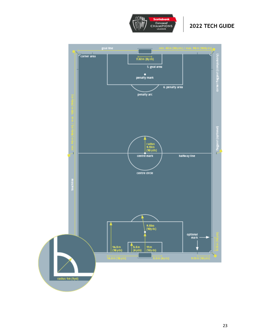

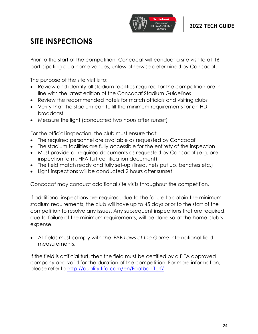

# **SITE INSPECTIONS**

Prior to the start of the competition, Concacaf will conduct a site visit to all 16 participating club home venues, unless otherwise determined by Concacaf.

The purpose of the site visit is to:

- Review and identify all stadium facilities required for the competition are in line with the latest edition of the Concacaf Stadium Guidelines
- Review the recommended hotels for match officials and visiting clubs
- Verify that the stadium can fulfill the minimum requirements for an HD broadcast
- Measure the light (conducted two hours after sunset)

For the official inspection, the club must ensure that:

- The required personnel are available as requested by Concacaf
- The stadium facilities are fully accessible for the entirety of the inspection
- Must provide all required documents as requested by Concacaf (e.g. preinspection form, FIFA turf certification document)
- The field match ready and fully set-up (lined, nets put up, benches etc.)
- Light inspections will be conducted 2 hours after sunset

Concacaf may conduct additional site visits throughout the competition.

If additional inspections are required, due to the failure to obtain the minimum stadium requirements, the club will have up to 45 days prior to the start of the competition to resolve any issues. Any subsequent inspections that are required, due to failure of the minimum requirements, will be done so at the home club's expense.

• All fields must comply with the IFAB *Laws of the Game* international field measurements.

If the field is artificial turf, then the field must be certified by a FIFA approved company and valid for the duration of the competition. For more information, please refer to<http://quality.fifa.com/en/Football-Turf/>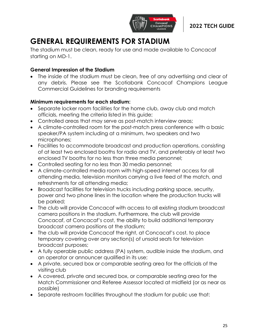

# **GENERAL REQUIREMENTS FOR STADIUM**

The stadium must be clean, ready for use and made available to Concacaf starting on MD-1.

#### **General Impression of the Stadium**

The inside of the stadium must be clean, free of any advertising and clear of any debris. Please see the Scotiabank Concacaf Champions League Commercial Guidelines for branding requirements

#### **Minimum requirements for each stadium:**

- Separate locker room facilities for the home club, away club and match officials, meeting the criteria listed in this guide;
- Controlled areas that may serve as post-match interview areas;
- A climate-controlled room for the post-match press conference with a basic speaker/PA system including at a minimum, two speakers and two microphones;
- Facilities to accommodate broadcast and production operations, consisting of at least two enclosed booths for radio and TV, and preferably at least two enclosed TV booths for no less than three media personnel;
- Controlled seating for no less than 30 media personnel;
- A climate-controlled media room with high-speed internet access for all attending media, television monitors carrying a live feed of the match, and refreshments for all attending media;
- Broadcast facilities for television trucks including parking space, security, power and two phone lines in the location where the production trucks will be parked;
- The club will provide Concacaf with access to all existing stadium broadcast camera positions in the stadium. Furthermore, the club will provide Concacaf, at Concacaf's cost, the ability to build additional temporary broadcast camera positions at the stadium;
- The club will provide Concacaf the right, at Concacaf's cost, to place temporary covering over any section(s) of unsold seats for television broadcast purposes;
- A fully operable public address (PA) system, audible inside the stadium, and an operator or announcer qualified in its use;
- A private, secured box or comparable seating area for the officials of the visiting club
- A covered, private and secured box, or comparable seating area for the Match Commissioner and Referee Assessor located at midfield (or as near as possible)
- Separate restroom facilities throughout the stadium for public use that: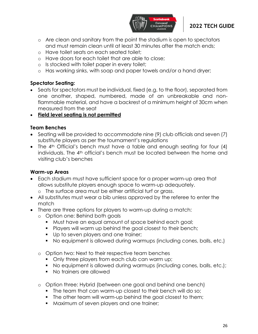

- o Are clean and sanitary from the point the stadium is open to spectators and must remain clean until at least 30 minutes after the match ends;
- o Have toilet seats on each seated toilet;
- o Have doors for each toilet that are able to close;
- o Is stocked with toilet paper in every toilet;
- o Has working sinks, with soap and paper towels and/or a hand dryer;

#### **Spectator Seating:**

- Seats for spectators must be individual, fixed (e.g. to the floor), separated from one another, shaped, numbered, made of an unbreakable and nonflammable material, and have a backrest of a minimum height of 30cm when measured from the seat
- **Field level seating is not permitted**

#### **Team Benches**

- Seating will be provided to accommodate nine (9) club officials and seven (7) substitute players as per the tournament's regulations
- The 4<sup>th</sup> Official's bench must have a table and enough seating for four (4) individuals. The 4<sup>th</sup> official's bench must be located between the home and visiting club's benches

#### **Warm-up Areas**

- Each stadium must have sufficient space for a proper warm-up area that allows substitute players enough space to warm-up adequately.
	- o The surface area must be either artificial turf or grass.
- All substitutes must wear a bib unless approved by the referee to enter the match
- There are three options for players to warm-up during a match:
	- o Option one: Behind both goals
		- Must have an equal amount of space behind each goal;
		- Players will warm up behind the goal closest to their bench;
		- **•** Up to seven players and one trainer;
		- No equipment is allowed during warmups (including cones, balls, etc.)
	- o Option two: Next to their respective team benches
		- Only three players from each club can warm up;
		- No equipment is allowed during warmups (including cones, balls, etc.);
		- No trainers are allowed
	- o Option three: Hybrid (between one goal and behind one bench)
		- The team that can warm-up closest to their bench will do so;
		- The other team will warm-up behind the goal closest to them;
		- Maximum of seven players and one trainer;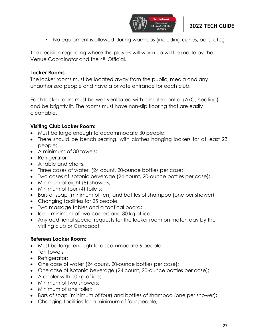

■ No equipment is allowed during warmups (including cones, balls, etc.)

The decision regarding where the players will warm up will be made by the Venue Coordinator and the 4th Official.

#### **Locker Rooms**

The locker rooms must be located away from the public, media and any unauthorized people and have a private entrance for each club.

Each locker room must be well ventilated with climate control (A/C, heating) and be brightly lit. The rooms must have non-slip flooring that are easily cleanable.

#### **Visiting Club Locker Room:**

- Must be large enough to accommodate 30 people;
- There should be bench seating, with clothes hanging lockers for at least 23 people;
- A minimum of 30 towels:
- Refrigerator;
- A table and chairs;
- Three cases of water, (24 count, 20-ounce bottles per case;
- Two cases of isotonic beverage (24 count, 20-ounce bottles per case);
- Minimum of eight (8) showers;
- Minimum of four (4) toilets;
- Bars of soap (minimum of ten) and bottles of shampoo (one per shower);
- Changing facilities for 25 people;
- Two massage tables and a tactical board;
- Ice minimum of two coolers and 30 kg of ice;
- Any additional special requests for the locker room on match day by the visiting club or Concacaf;

#### **Referees Locker Room:**

- Must be large enough to accommodate 6 people;
- Ten towels;
- Refrigerator;
- One case of water (24 count, 20-ounce bottles per case);
- One case of isotonic beverage (24 count, 20-ounce bottles per case);
- A cooler with 10 kg of ice;
- Minimum of two showers:
- Minimum of one toilet:
- Bars of soap (minimum of four) and bottles of shampoo (one per shower);
- Changing facilities for a minimum of four people;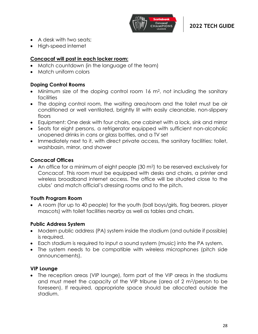

- A desk with two seats;
- High-speed internet

#### **Concacaf will post in each locker room:**

- Match countdown (in the language of the team)
- Match uniform colors

#### **Doping Control Rooms**

- Minimum size of the doping control room 16 m<sup>2</sup>, not including the sanitary **facilities**
- The doping control room, the waiting area/room and the toilet must be air conditioned or well ventilated, brightly lit with easily cleanable, non-slippery floors
- Equipment: One desk with four chairs, one cabinet with a lock, sink and mirror
- Seats for eight persons, a refrigerator equipped with sufficient non-alcoholic unopened drinks in cans or glass bottles, and a TV set
- Immediately next to it, with direct private access, the sanitary facilities: toilet, washbasin, mirror, and shower

#### **Concacaf Offices**

• An office for a minimum of eight people (30 m2) to be reserved exclusively for Concacaf. This room must be equipped with desks and chairs, a printer and wireless broadband internet access. The office will be situated close to the clubs' and match official's dressing rooms and to the pitch.

#### **Youth Program Room**

• A room (for up to 40 people) for the youth (ball boys/girls, flag bearers, player mascots) with toilet facilities nearby as well as tables and chairs.

#### **Public Address System**

- Modern public address (PA) system inside the stadium (and outside if possible) is required.
- Each stadium is required to input a sound system (music) into the PA system.
- The system needs to be compatible with wireless microphones (pitch side announcements).

#### **VIP Lounge**

• The reception areas (VIP lounge), form part of the VIP areas in the stadiums and must meet the capacity of the VIP tribune (area of 2 m2/person to be foreseen). If required, appropriate space should be allocated outside the stadium.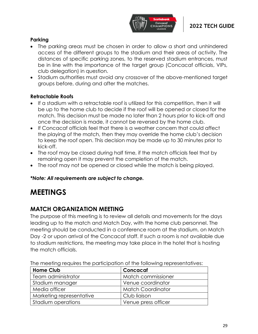

#### **Parking**

- The parking areas must be chosen in order to allow a short and unhindered access of the different groups to the stadium and their areas of activity. The distances of specific parking zones, to the reserved stadium entrances, must be in line with the importance of the target group (Concacaf officials, VIPs, club delegation) in question.
- Stadium authorities must avoid any crossover of the above-mentioned target groups before, during and after the matches.

#### **Retractable Roofs**

- If a stadium with a retractable roof is utilized for this competition, then it will be up to the home club to decide if the roof will be opened or closed for the match. This decision must be made no later than 2 hours prior to kick-off and once the decision is made, it cannot be reversed by the home club.
- If Concacaf officials feel that there is a weather concern that could affect the playing of the match, then they may override the home club's decision to keep the roof open. This decision may be made up to 30 minutes prior to kick-off.
- The roof may be closed during half time, if the match officials feel that by remaining open it may prevent the completion of the match.
- The roof may not be opened or closed while the match is being played.

#### *\*Note: All requirements are subject to change.*

# **MEETINGS**

# **MATCH ORGANIZATION MEETING**

The purpose of this meeting is to review all details and movements for the days leading up to the match and Match Day, with the home club personnel. The meeting should be conducted in a conference room at the stadium, on Match Day -2 or upon arrival of the Concacaf staff. If such a room is not available due to stadium restrictions, the meeting may take place in the hotel that is hosting the match officials.

| <b>Home Club</b>         | Concacaf                 |  |
|--------------------------|--------------------------|--|
| Team administrator       | Match commissioner       |  |
| Stadium manager          | Venue coordinator        |  |
| Media officer            | <b>Match Coordinator</b> |  |
| Marketing representative | Club liaison             |  |
| Stadium operations       | Venue press officer      |  |

The meeting requires the participation of the following representatives: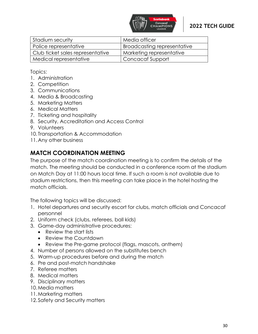

| Stadium security                 | Media officer               |
|----------------------------------|-----------------------------|
| Police representative            | Broadcasting representative |
| Club ticket sales representative | Marketing representative    |
| Medical representative           | Concacaf Support            |

Topics:

- 1. Administration
- 2. Competition
- 3. Communications
- 4. Media & Broadcasting
- 5. Marketing Matters
- 6. Medical Matters
- 7. Ticketing and hospitality
- 8. Security, Accreditation and Access Control
- 9. Volunteers
- 10. Transportation & Accommodation
- 11.Any other business

# **MATCH COORDINATION MEETING**

The purpose of the match coordination meeting is to confirm the details of the match. The meeting should be conducted in a conference room at the stadium on Match Day at 11:00 hours local time. If such a room is not available due to stadium restrictions, then this meeting can take place in the hotel hosting the match officials.

The following topics will be discussed:

- 1. Hotel departures and security escort for clubs, match officials and Concacaf personnel
- 2. Uniform check (clubs, referees, ball kids)
- 3. Game-day administrative procedures:
	- Review the start lists
	- Review the Countdown
	- Review the Pre-game protocol (flags, mascots, anthem)
- 4. Number of persons allowed on the substitutes bench
- 5. Warm-up procedures before and during the match
- 6. Pre and post-match handshake
- 7. Referee matters
- 8. Medical matters
- 9. Disciplinary matters
- 10.Media matters
- 11.Marketing matters
- 12.Safety and Security matters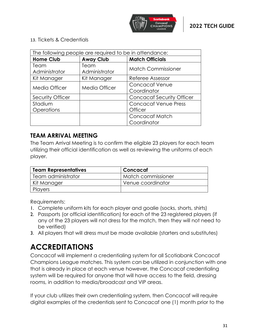

#### 13. Tickets & Credentials

| The following people are required to be in attendance: |               |                                  |
|--------------------------------------------------------|---------------|----------------------------------|
| <b>Home Club</b><br><b>Away Club</b>                   |               | <b>Match Officials</b>           |
| Team                                                   | Team          | <b>Match Commissioner</b>        |
| Administrator                                          | Administrator |                                  |
| Kit Manager                                            | Kit Manager   | Referee Assessor                 |
| <b>Media Officer</b>                                   | Media Officer | <b>Concacaf Venue</b>            |
|                                                        |               | Coordinator                      |
| Security Officer                                       |               | <b>Concacaf Security Officer</b> |
| Stadium                                                |               | <b>Concacaf Venue Press</b>      |
| <b>Operations</b>                                      |               | <b>Officer</b>                   |
|                                                        |               | Concacaf Match                   |
|                                                        |               | Coordinator                      |

# **TEAM ARRIVAL MEETING**

The Team Arrival Meeting is to confirm the eligible 23 players for each team utilizing their official identification as well as reviewing the uniforms of each player.

| <b>Team Representatives</b> | Concacaf           |
|-----------------------------|--------------------|
| Team administrator          | Match commissioner |
| Kit Manager                 | Venue coordinator  |
| Players                     |                    |

Requirements:

- 1. Complete uniform kits for each player and goalie (socks, shorts, shirts)
- 2. Passports (or official identification) for each of the 23 registered players (if any of the 23 players will not dress for the match, then they will not need to be verified)
- 3. All players that will dress must be made available (starters and substitutes)

# **ACCREDITATIONS**

Concacaf will implement a credentialing system for all Scotiabank Concacaf Champions League matches. This system can be utilized in conjunction with one that is already in place at each venue however, the Concacaf credentialing system will be required for anyone that will have access to the field, dressing rooms, in addition to media/broadcast and VIP areas.

If your club utilizes their own credentialing system, then Concacaf will require digital examples of the credentials sent to Concacaf one (1) month prior to the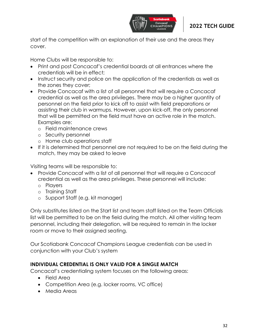

start of the competition with an explanation of their use and the areas they cover.

Home Clubs will be responsible to:

- Print and post Concacaf's credential boards at all entrances where the credentials will be in effect;
- Instruct security and police on the application of the credentials as well as the zones they cover;
- Provide Concacaf with a list of all personnel that will require a Concacaf credential as well as the area privileges. There may be a higher quantity of personnel on the field prior to kick off to assist with field preparations or assisting their club in warmups. However, upon kick-off, the only personnel that will be permitted on the field must have an active role in the match. Examples are:
	- o Field maintenance crews
	- o Security personnel
	- o Home club operations staff
- If it is determined that personnel are not required to be on the field during the match, they may be asked to leave

Visiting teams will be responsible to:

- Provide Concacaf with a list of all personnel that will require a Concacaf credential as well as the area privileges. These personnel will include:
	- o Players
	- o Training Staff
	- o Support Staff (e.g. kit manager)

Only substitutes listed on the Start list and team staff listed on the Team Officials list will be permitted to be on the field during the match. All other visiting team personnel, including their delegation, will be required to remain in the locker room or move to their assigned seating.

Our Scotiabank Concacaf Champions League credentials can be used in conjunction with your Club's system

#### **INDIVIDUAL CREDENTIAL IS ONLY VALID FOR A SINGLE MATCH**

Concacaf's credentialing system focuses on the following areas:

- Field Area
- Competition Area (e.g. locker rooms, VC office)
- Media Areas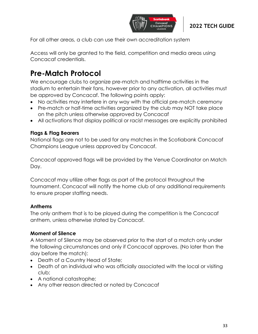

For all other areas, a club can use their own accreditation system

Access will only be granted to the field, competition and media areas using Concacaf credentials.

# **Pre-Match Protocol**

We encourage clubs to organize pre-match and halftime activities in the stadium to entertain their fans, however prior to any activation, all activities must be approved by Concacaf. The following points apply:

- No activities may interfere in any way with the official pre-match ceremony
- Pre-match or half-time activities organized by the club may NOT take place on the pitch unless otherwise approved by Concacaf
- All activations that display political or racist messages are explicitly prohibited

#### **Flags & Flag Bearers**

National flags are not to be used for any matches in the Scotiabank Concacaf Champions League unless approved by Concacaf.

Concacaf approved flags will be provided by the Venue Coordinator on Match Day.

Concacaf may utilize other flags as part of the protocol throughout the tournament. Concacaf will notify the home club of any additional requirements to ensure proper staffing needs.

#### **Anthems**

The only anthem that is to be played during the competition is the Concacaf anthem, unless otherwise stated by Concacaf.

#### **Moment of Silence**

A Moment of Silence may be observed prior to the start of a match only under the following circumstances and only if Concacaf approves. (No later than the day before the match):

- Death of a Country Head of State;
- Death of an individual who was officially associated with the local or visiting club;
- A national catastrophe;
- Any other reason directed or noted by Concacaf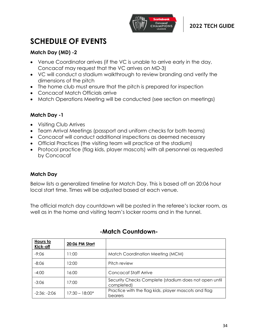

# **SCHEDULE OF EVENTS**

#### **Match Day (MD) -2**

- Venue Coordinator arrives (if the VC is unable to arrive early in the day, Concacaf may request that the VC arrives on MD-3)
- VC will conduct a stadium walkthrough to review branding and verify the dimensions of the pitch
- The home club must ensure that the pitch is prepared for inspection
- Concacaf Match Officials arrive
- Match Operations Meeting will be conducted (see section on meetings)

#### **Match Day -1**

- Visiting Club Arrives
- Team Arrival Meetings (passport and uniform checks for both teams)
- Concacaf will conduct additional inspections as deemed necessary
- Official Practices (the visiting team will practice at the stadium)
- Protocol practice (flag kids, player mascots) with all personnel as requested by Concacaf

#### **Match Day**

Below lists a generalized timeline for Match Day. This is based off an 20:06 hour local start time. Times will be adjusted based at each venue.

The official match day countdown will be posted in the referee's locker room, as well as in the home and visiting team's locker rooms and in the tunnel.

| Hours to<br>Kick-off | 20:06 PM Start   |                                                                     |
|----------------------|------------------|---------------------------------------------------------------------|
| $-9:06$              | 11:00            | Match Coordination Meeting (MCM)                                    |
| $-8:06$              | 12:00            | Pitch review                                                        |
| $-4:00$              | 16:00            | Concacaf Staff Arrive                                               |
| $-3:06$              | 17:00            | Security Checks Complete (stadium does not open until<br>completed) |
| $-2:36: -2:06$       | $17:30 - 18:00*$ | Practice with the flag kids, player mascots and flag<br>bearers     |

# **-Match Countdown-**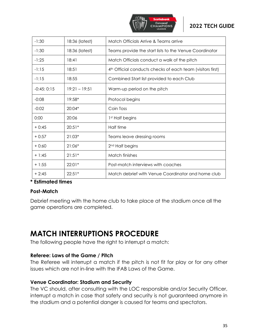

| $-1:30$      | 18:36 (latest)  | Match Officials Arrive & Teams arrive                      |
|--------------|-----------------|------------------------------------------------------------|
| $-1:30$      | 18:36 (latest)  | Teams provide the start lists to the Venue Coordinator     |
| $-1:25$      | 18:41           | Match Officials conduct a walk of the pitch                |
| $-1:15$      | 18:51           | 4th Official conducts checks of each team (visitors first) |
| $-1:15$      | 18:55           | Combined Start list provided to each Club                  |
| $-0:45:0:15$ | $19:21 - 19:51$ | Warm-up period on the pitch                                |
| $-0:08$      | 19:58*          | Protocol begins                                            |
| $-0:02$      | 20:04*          | Coin Toss                                                  |
| 0:00         | 20:06           | 1st Half begins                                            |
| $+0:45$      | $20:51*$        | Half time                                                  |
| $+0:57$      | $21:03*$        | Teams leave dressing rooms                                 |
| $+0:60$      | $21:06*$        | 2 <sup>nd</sup> Half begins                                |
| $+ 1:45$     | $21:51*$        | Match finishes                                             |
| $+1:55$      | $22:01*$        | Post-match interviews with coaches                         |
| $+2:45$      | $22:51*$        | Match debrief with Venue Coordinator and home club         |

#### **\* Estimated times**

#### **Post-Match**

Debrief meeting with the home club to take place at the stadium once all the game operations are completed.

# **MATCH INTERRUPTIONS PROCEDURE**

The following people have the right to interrupt a match:

#### **Referee: Laws of the Game / Pitch**

The Referee will interrupt a match if the pitch is not fit for play or for any other issues which are not in-line with the IFAB Laws of the Game.

#### **Venue Coordinator: Stadium and Security**

The VC should, after consulting with the LOC responsible and/or Security Officer, interrupt a match in case that safety and security is not guaranteed anymore in the stadium and a potential danger is caused for teams and spectators.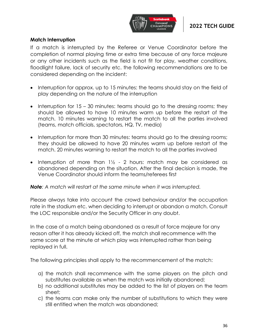

#### **Match Interruption**

If a match is interrupted by the Referee or Venue Coordinator before the completion of normal playing time or extra time because of any force majeure or any other incidents such as the field is not fit for play, weather conditions, floodlight failure, lack of security etc. the following recommendations are to be considered depending on the incident:

- Interruption for approx. up to 15 minutes: the teams should stay on the field of play depending on the nature of the interruption
- Interruption for 15 30 minutes: teams should go to the dressing rooms; they should be allowed to have 10 minutes warm up before the restart of the match. 10 minutes warning to restart the match to all the parties involved (teams, match officials, spectators, HQ, TV, media)
- Interruption for more than 30 minutes: teams should go to the dressing rooms; they should be allowed to have 20 minutes warm up before restart of the match. 20 minutes warning to restart the match to all the parties involved
- Interruption of more than  $1\frac{1}{2}$  2 hours: match may be considered as abandoned depending on the situation. After the final decision is made, the Venue Coordinator should inform the teams/referees first

*Note: A match will restart at the same minute when it was interrupted.*

Please always take into account the crowd behaviour and/or the occupation rate in the stadium etc. when deciding to interrupt or abandon a match. Consult the LOC responsible and/or the Security Officer in any doubt.

In the case of a match being abandoned as a result of force majeure for any reason after it has already kicked off, the match shall recommence with the same score at the minute at which play was interrupted rather than being replayed in full.

The following principles shall apply to the recommencement of the match:

- a) the match shall recommence with the same players on the pitch and substitutes available as when the match was initially abandoned;
- b) no additional substitutes may be added to the list of players on the team sheet;
- c) the teams can make only the number of substitutions to which they were still entitled when the match was abandoned;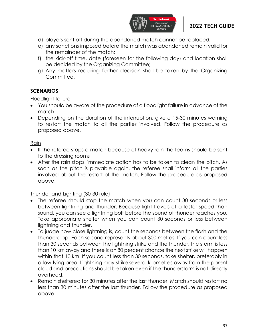

- d) players sent off during the abandoned match cannot be replaced;
- e) any sanctions imposed before the match was abandoned remain valid for the remainder of the match;
- f) the kick-off time, date (foreseen for the following day) and location shall be decided by the Organizing Committee;
- g) Any matters requiring further decision shall be taken by the Organizing Committee.

#### **SCENARIOS**

Floodlight failure

- You should be aware of the procedure of a floodlight failure in advance of the match
- Depending on the duration of the interruption, give a 15-30 minutes warning to restart the match to all the parties involved. Follow the procedure as proposed above.

#### Rain

- If the referee stops a match because of heavy rain the teams should be sent to the dressing rooms
- After the rain stops, immediate action has to be taken to clean the pitch. As soon as the pitch is playable again, the referee shall inform all the parties involved about the restart of the match. Follow the procedure as proposed above.

#### Thunder and Lighting (30-30 rule)

- The referee should stop the match when you can count 30 seconds or less between lightning and thunder. Because light travels at a faster speed than sound, you can see a lightning bolt before the sound of thunder reaches you. Take appropriate shelter when you can count 30 seconds or less between lightning and thunder.
- To judge how close lightning is, count the seconds between the flash and the thunderclap. Each second represents about 300 metres. If you can count less than 30 seconds between the lightning strike and the thunder, the storm is less than 10 km away and there is an 80 percent chance the next strike will happen within that 10 km. If you count less than 30 seconds, take shelter, preferably in a low-lying area. Lightning may strike several kilometres away from the parent cloud and precautions should be taken even if the thunderstorm is not directly overhead.
- Remain sheltered for 30 minutes after the last thunder. Match should restart no less than 30 minutes after the last thunder. Follow the procedure as proposed above.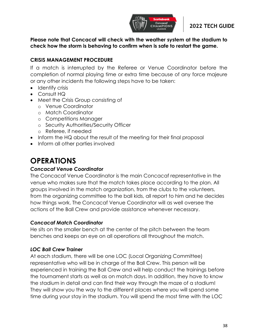

**Please note that Concacaf will check with the weather system at the stadium to check how the storm is behaving to confirm when is safe to restart the game.** 

#### **CRISIS MANAGEMENT PROCEDURE**

If a match is interrupted by the Referee or Venue Coordinator before the completion of normal playing time or extra time because of any force majeure or any other incidents the following steps have to be taken:

- Identify crisis
- Consult HQ
- Meet the Crisis Group consisting of
	- o Venue Coordinator
	- o Match Coordinator
	- o Competitions Manager
	- o Security Authorities/Security Officer
	- o Referee, if needed
- Inform the HQ about the result of the meeting for their final proposal
- Inform all other parties involved

# **OPERATIONS**

#### *Concacaf Venue Coordinator*

The Concacaf Venue Coordinator is the main Concacaf representative in the venue who makes sure that the match takes place according to the plan. All groups involved in the match organization, from the clubs to the volunteers, from the organizing committee to the ball kids, all report to him and he decides how things work. The Concacaf Venue Coordinator will as well oversee the actions of the Ball Crew and provide assistance whenever necessary.

#### *Concacaf Match Coordinator*

He sits on the smaller bench at the center of the pitch between the team benches and keeps an eye on all operations all throughout the match.

#### *LOC Ball Crew Trainer*

At each stadium, there will be one LOC (Local Organizing Committee) representative who will be in charge of the Ball Crew. This person will be experienced in training the Ball Crew and will help conduct the trainings before the tournament starts as well as on match days. In addition, they have to know the stadium in detail and can find their way through the maze of a stadium! They will show you the way to the different places where you will spend some time during your stay in the stadium. You will spend the most time with the LOC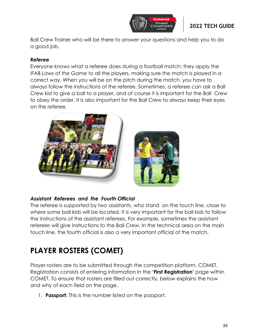

Ball Crew Trainer who will be there to answer your questions and help you to do a good job.

#### *Referee*

Everyone knows what a referee does during a football match: they apply the IFAB *Laws of the Game* to all the players, making sure the match is played in a correct way. When you will be on the pitch during the match, you have to always follow the instructions of the referee. Sometimes, a referee can ask a Ball Crew kid to give a ball to a player, and of course it is important for the Ball Crew to obey the order. It is also important for the Ball Crew to always keep their eyes on the referee.



#### *Assistant Referees and the Fourth Official*

The referee is supported by two assistants, who stand on the touch line, close to where some ball kids will be located. It is very important for the ball kids to follow the instructions of the assistant referees. For example, sometimes the assistant referees will give instructions to the Ball Crew. In the technical area on the main touch line, the fourth official is also a very important official of the match.

# **PLAYER ROSTERS (COMET)**

Player rosters are to be submitted through the competition platform, COMET. Registration consists of entering information in the **'First Registration'** page within COMET. To ensure that rosters are filled out correctly, below explains the how and why of each field on the page.

1. **Passport:** This is the number listed on the passport.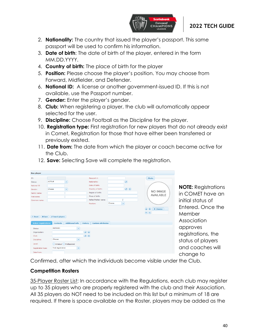

- 2. **Nationality:** The country that issued the player's passport. This same passport will be used to confirm his information.
- 3. **Date of birth**: The date of birth of the player, entered in the form MM.DD.YYYY.
- 4. **Country of birth:** The place of birth for the player
- 5. **Position:** Please choose the player's position. You may choose from Forward, Midfielder, and Defender.
- 6. **National ID:** A license or another government-issued ID. If this is not available, use the Passport number.
- 7. **Gender:** Enter the player's gender.
- 8. **Club:** When registering a player, the club will automatically appear selected for the user.
- 9. **Discipline:** Choose Football as the Discipline for the player.
- 10. **Registration type:** First registration for new players that do not already exist in Comet, Registration for those that have either been transferred or previously existed.
- 11. **Date from:** The date from which the player or coach became active for the Club.

| <b>New player</b>                                                     |                                     |                        |                |                                                                                                                                                                                                                                                                                                                                                     |        |                                                                                                                                                                                                                                                                                                                                                     |                  |  |
|-----------------------------------------------------------------------|-------------------------------------|------------------------|----------------|-----------------------------------------------------------------------------------------------------------------------------------------------------------------------------------------------------------------------------------------------------------------------------------------------------------------------------------------------------|--------|-----------------------------------------------------------------------------------------------------------------------------------------------------------------------------------------------------------------------------------------------------------------------------------------------------------------------------------------------------|------------------|--|
| ID:                                                                   |                                     |                        |                | Passport #:                                                                                                                                                                                                                                                                                                                                         |        |                                                                                                                                                                                                                                                                                                                                                     | Photo            |  |
| Status:                                                               | <b>ACTIVE</b>                       | ٠                      |                | Nationality:                                                                                                                                                                                                                                                                                                                                        |        | $\boxed{\mathbf{a}}$                                                                                                                                                                                                                                                                                                                                |                  |  |
| National ID                                                           |                                     |                        |                | Date of birth:                                                                                                                                                                                                                                                                                                                                      |        |                                                                                                                                                                                                                                                                                                                                                     |                  |  |
| Gender:                                                               | Choose                              | ÷                      |                | Country of birth:                                                                                                                                                                                                                                                                                                                                   |        | $\begin{picture}(130,10) \put(0,0){\line(1,0){10}} \put(15,0){\line(1,0){10}} \put(15,0){\line(1,0){10}} \put(15,0){\line(1,0){10}} \put(15,0){\line(1,0){10}} \put(15,0){\line(1,0){10}} \put(15,0){\line(1,0){10}} \put(15,0){\line(1,0){10}} \put(15,0){\line(1,0){10}} \put(15,0){\line(1,0){10}} \put(15,0){\line(1,0){10}} \put(15,0){\line($ |                  |  |
| Family name:                                                          |                                     |                        |                | Region of birth:                                                                                                                                                                                                                                                                                                                                    |        |                                                                                                                                                                                                                                                                                                                                                     | NO IMAGE         |  |
| First name:                                                           |                                     |                        |                | Place of birth:                                                                                                                                                                                                                                                                                                                                     |        |                                                                                                                                                                                                                                                                                                                                                     | <b>AVAILABLE</b> |  |
| Common name:                                                          |                                     |                        |                | Father/Mother name:                                                                                                                                                                                                                                                                                                                                 |        |                                                                                                                                                                                                                                                                                                                                                     |                  |  |
|                                                                       |                                     |                        |                | Position:                                                                                                                                                                                                                                                                                                                                           | Choose | ÷                                                                                                                                                                                                                                                                                                                                                   |                  |  |
| <b><i>c</i></b> Reset<br><b>B</b> Save<br><b>Active registrations</b> | D Search players<br><b>Contacts</b> | <b>Additional info</b> | <b>History</b> | <b>Custom attributes</b>                                                                                                                                                                                                                                                                                                                            |        |                                                                                                                                                                                                                                                                                                                                                     |                  |  |
| Status:                                                               | <b>ENTERED</b>                      |                        | ÷              |                                                                                                                                                                                                                                                                                                                                                     |        |                                                                                                                                                                                                                                                                                                                                                     |                  |  |
| Organisation:                                                         |                                     | $\boxed{a}$            |                |                                                                                                                                                                                                                                                                                                                                                     |        |                                                                                                                                                                                                                                                                                                                                                     |                  |  |
| Club:                                                                 |                                     |                        |                | $\begin{picture}(150,20) \put(0,0){\line(1,0){10}} \put(15,0){\line(1,0){10}} \put(15,0){\line(1,0){10}} \put(15,0){\line(1,0){10}} \put(15,0){\line(1,0){10}} \put(15,0){\line(1,0){10}} \put(15,0){\line(1,0){10}} \put(15,0){\line(1,0){10}} \put(15,0){\line(1,0){10}} \put(15,0){\line(1,0){10}} \put(15,0){\line(1,0){10}} \put(15,0){\line($ |        |                                                                                                                                                                                                                                                                                                                                                     |                  |  |
|                                                                       | Choose                              |                        | $\mathbf{v}$   |                                                                                                                                                                                                                                                                                                                                                     |        |                                                                                                                                                                                                                                                                                                                                                     |                  |  |
| Discipline:                                                           |                                     |                        |                |                                                                                                                                                                                                                                                                                                                                                     |        |                                                                                                                                                                                                                                                                                                                                                     |                  |  |
| Level:                                                                |                                     | Amateur Professional   |                |                                                                                                                                                                                                                                                                                                                                                     |        |                                                                                                                                                                                                                                                                                                                                                     |                  |  |
| Registration type:                                                    | First registration                  |                        | $\star$        |                                                                                                                                                                                                                                                                                                                                                     |        |                                                                                                                                                                                                                                                                                                                                                     |                  |  |

12. **Save:** Selecting Save will complete the registration.

**NOTE:** Registrations in COMET have an initial status of Entered. Once the **Member Association** approves registrations, the status of players and coaches will change to

Confirmed, after which the individuals become visible under the Club.

### **Competition Rosters**

35-Player Roster List: In accordance with the Regulations, each club may register up to 35 players who are properly registered with the club and their Association. All 35 players do NOT need to be included on this list but a minimum of 18 are required. If there is space available on the Roster, players may be added as the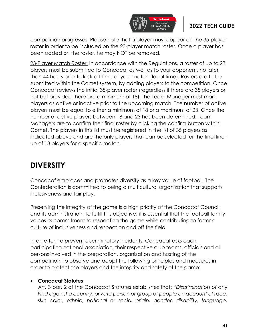

competition progresses. Please note that a player must appear on the 35-player roster in order to be included on the 23-player match roster. Once a player has been added on the roster, he may NOT be removed.

23-Player Match Roster: In accordance with the Regulations, a roster of up to 23 players must be submitted to Concacaf as well as to your opponent, no later than 44 hours prior to kick-off time of your match (local time). Rosters are to be submitted within the Comet system, by adding players to the competition. Once Concacaf reviews the initial 35-player roster (regardless if there are 35 players or not but provided there are a minimum of 18), the Team Manager must mark players as active or inactive prior to the upcoming match. The number of active players must be equal to either a minimum of 18 or a maximum of 23. Once the number of active players between 18 and 23 has been determined, Team Managers are to confirm their final roster by clicking the confirm button within Comet. The players in this list must be registered in the list of 35 players as indicated above and are the only players that can be selected for the final lineup of 18 players for a specific match.

# **DIVERSITY**

Concacaf embraces and promotes diversity as a key value of football. The Confederation is committed to being a multicultural organization that supports inclusiveness and fair play.

Preserving the integrity of the game is a high priority of the Concacaf Council and its administration. To fulfill this objective, it is essential that the football family voices its commitment to respecting the game while contributing to foster a culture of inclusiveness and respect on and off the field.

In an effort to prevent discriminatory incidents, Concacaf asks each participating national association, their respective club teams, officials and all persons involved in the preparation, organization and hosting of the competition, to observe and adopt the following principles and measures in order to protect the players and the integrity and safety of the game:

#### • **Concacaf Statutes**

Art. 3 par. 2 of the Concacaf Statutes establishes that: "*Discrimination of any kind against a country, private person or group of people on account of race, skin color, ethnic, national or social origin, gender, disability, language,*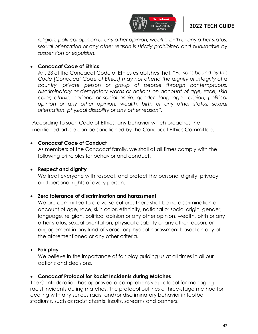

*religion, political opinion or any other opinion, wealth, birth or any other status, sexual orientation or any other reason is strictly prohibited and punishable by suspension or expulsion.*

#### • **Concacaf Code of Ethics**

Art. 23 of the Concacaf Code of Ethics establishes that: *"Persons bound by this Code [Concacaf Code of Ethics] may not offend the dignity or integrity of a country, private person or group of people through contemptuous, discriminatory or derogatory words or actions on account of age, race, skin color, ethnic, national or social origin, gender, language, religion, political opinion or any other opinion, wealth, birth or any other status, sexual orientation, physical disability or any other reason".* 

According to such Code of Ethics, any behavior which breaches the mentioned article can be sanctioned by the Concacaf Ethics Committee.

#### • **Concacaf Code of Conduct**

As members of the Concacaf family, we shall at all times comply with the following principles for behavior and conduct:

#### • **Respect and dignity**

We treat everyone with respect, and protect the personal dignity, privacy and personal rights of every person.

#### • **Zero tolerance of discrimination and harassment**

We are committed to a diverse culture. There shall be no discrimination on account of age, race, skin color, ethnicity, national or social origin, gender, language, religion, political opinion or any other opinion, wealth, birth or any other status, sexual orientation, physical disability or any other reason, or engagement in any kind of verbal or physical harassment based on any of the aforementioned or any other criteria.

### • **Fair play**

We believe in the importance of fair play guiding us at all times in all our actions and decisions.

#### • **Concacaf Protocol for Racist Incidents during Matches**

The Confederation has approved a comprehensive protocol for managing racist incidents during matches. The protocol outlines a three-stage method for dealing with any serious racist and/or discriminatory behavior in football stadiums, such as racist chants, insults, screams and banners.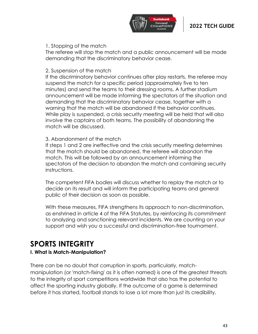

#### 1. Stopping of the match

The referee will stop the match and a public announcement will be made demanding that the discriminatory behavior cease.

#### 2. Suspension of the match

If the discriminatory behavior continues after play restarts, the referee may suspend the match for a specific period (approximately five to ten minutes) and send the teams to their dressing rooms. A further stadium announcement will be made informing the spectators of the situation and demanding that the discriminatory behavior cease, together with a warning that the match will be abandoned if the behavior continues. While play is suspended, a crisis security meeting will be held that will also involve the captains of both teams. The possibility of abandoning the match will be discussed.

#### 3. Abandonment of the match

If steps 1 and 2 are ineffective and the crisis security meeting determines that the match should be abandoned, the referee will abandon the match. This will be followed by an announcement informing the spectators of the decision to abandon the match and containing security instructions.

The competent FIFA bodies will discuss whether to replay the match or to decide on its result and will inform the participating teams and general public of their decision as soon as possible.

With these measures, FIFA strengthens its approach to non-discrimination, as enshrined in article 4 of the FIFA Statutes, by reinforcing its commitment to analyzing and sanctioning relevant incidents. We are counting on your support and wish you a successful and discrimination-free tournament.

# **SPORTS INTEGRITY**

#### **I. What is Match-Manipulation?**

There can be no doubt that corruption in sports, particularly, matchmanipulation (or 'match-fixing' as it is often named) is one of the greatest threats to the integrity of sport competitions worldwide that also has the potential to affect the sporting industry globally. If the outcome of a game is determined before it has started, football stands to lose a lot more than just its credibility.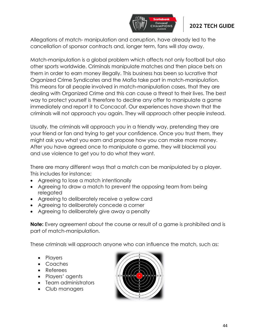

Allegations of match- manipulation and corruption, have already led to the cancellation of sponsor contracts and, longer term, fans will stay away.

Match-manipulation is a global problem which affects not only football but also other sports worldwide. Criminals manipulate matches and then place bets on them in order to earn money illegally. This business has been so lucrative that Organized Crime Syndicates and the Mafia take part in match-manipulation. This means for all people involved in match-manipulation cases, that they are dealing with Organized Crime and this can cause a threat to their lives. The best way to protect yourself is therefore to decline any offer to manipulate a game immediately and report it to Concacaf. Our experiences have shown that the criminals will not approach you again. They will approach other people instead.

Usually, the criminals will approach you in a friendly way, pretending they are your friend or fan and trying to get your confidence. Once you trust them, they might ask you what you earn and propose how you can make more money. After you have agreed once to manipulate a game, they will blackmail you and use violence to get you to do what they want.

There are many different ways that a match can be manipulated by a player. This includes for instance;

- Agreeing to lose a match intentionally
- Agreeing to draw a match to prevent the opposing team from being relegated
- Agreeing to deliberately receive a yellow card
- Agreeing to deliberately concede a corner
- Agreeing to deliberately give away a penalty

**Note:** Every agreement about the course or result of a game is prohibited and is part of match-manipulation.

These criminals will approach anyone who can influence the match, such as:

- Players
- Coaches
- Referees
- Players' agents
- Team administrators
- Club managers

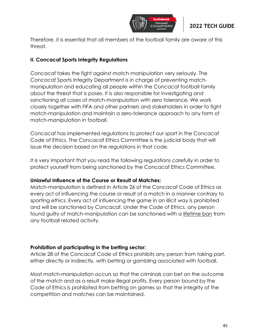

Therefore, it is essential that all members of the football family are aware of this threat.

#### **II. Concacaf Sports Integrity Regulations**

Concacaf takes the fight against match-manipulation very seriously. The Concacaf Sports Integrity Department is in charge of preventing matchmanipulation and educating all people within the Concacaf football family about the threat that is poses. It is also responsible for investigating and sanctioning all cases of match-manipulation with zero tolerance. We work closely together with FIFA and other partners and stakeholders in order to fight match-manipulation and maintain a zero-tolerance approach to any form of match-manipulation in football.

Concacaf has implemented regulations to protect our sport in the Concacaf Code of Ethics. The Concacaf Ethics Committee is the judicial body that will issue the decision based on the regulations in that code.

It is very important that you read the following regulations carefully in order to protect yourself from being sanctioned by the Concacaf Ethics Committee.

#### **Unlawful Influence of the Course or Result of Matches:**

Match-manipulation is defined in Article 26 of the Concacaf Code of Ethics as every act of influencing the course or result of a match in a manner contrary to sporting ethics. Every act of influencing the game in an illicit way is prohibited and will be sanctioned by Concacaf. Under the Code of Ethics, any person found guilty of match-manipulation can be sanctioned with a lifetime ban from any football related activity.

#### **Prohibition of participating in the betting sector:**

Article 28 of the Concacaf Code of Ethics prohibits any person from taking part, either directly or indirectly, with betting or gambling associated with football.

Most match-manipulation occurs so that the criminals can bet on the outcome of the match and as a result make illegal profits. Every person bound by the Code of Ethics is prohibited from betting on games so that the integrity of the competition and matches can be maintained.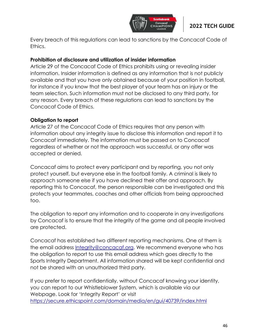

Every breach of this regulations can lead to sanctions by the Concacaf Code of Ethics.

#### **Prohibition of disclosure and utilization of insider information**

Article 29 of the Concacaf Code of Ethics prohibits using or revealing insider information. Insider information is defined as any information that is not publicly available and that you have only obtained because of your position in football, for instance if you know that the best player of your team has an injury or the team selection. Such information must not be disclosed to any third party, for any reason. Every breach of these regulations can lead to sanctions by the Concacaf Code of Ethics.

#### **Obligation to report**

Article 27 of the Concacaf Code of Ethics requires that any person with information about any integrity issue to disclose this information and report it to Concacaf immediately. The information must be passed on to Concacaf regardless of whether or not the approach was successful, or any offer was accepted or denied.

Concacaf aims to protect every participant and by reporting, you not only protect yourself, but everyone else in the football family. A criminal is likely to approach someone else if you have declined their offer and approach. By reporting this to Concacaf, the person responsible can be investigated and this protects your teammates, coaches and other officials from being approached too.

The obligation to report any information and to cooperate in any investigations by Concacaf is to ensure that the integrity of the game and all people involved are protected.

Concacaf has established two different reporting mechanisms. One of them is the email address [Integrity@concacaf.org.](mailto:Integrity@concacaf.org) We recommend everyone who has the obligation to report to use this email address which goes directly to the Sports Integrity Department. All information shared will be kept confidential and not be shared with an unauthorized third party.

If you prefer to report confidentially, without Concacaf knowing your identity, you can report to our Whistleblower System, which is available via our Webpage. Look for 'Integrity Report' or visit <https://secure.ethicspoint.com/domain/media/en/gui/40739/index.html>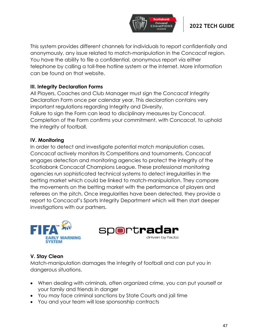

This system provides different channels for individuals to report confidentially and anonymously, any issue related to match-manipulation in the Concacaf region. You have the ability to file a confidential, anonymous report via either telephone by calling a toll-free hotline system or the internet. More information can be found on that website.

#### **III. Integrity Declaration Forms**

All Players, Coaches and Club Manager must sign the Concacaf Integrity Declaration Form once per calendar year. This declaration contains very important regulations regarding Integrity and Diversity. Failure to sign the Form can lead to disciplinary measures by Concacaf. Completion of the Form confirms your commitment, with Concacaf, to uphold the integrity of football.

#### **IV. Monitoring**

In order to detect and investigate potential match manipulation cases, Concacaf actively monitors its Competitions and tournaments. Concacaf engages detection and monitoring agencies to protect the integrity of the Scotiabank Concacaf Champions League. These professional monitoring agencies run sophisticated technical systems to detect irregularities in the betting market which could be linked to match-manipulation. They compare the movements on the betting market with the performance of players and referees on the pitch. Once irregularities have been detected, they provide a report to Concacaf's Sports Integrity Department which will then start deeper investigations with our partners.





#### **V. Stay Clean**

Match-manipulation damages the integrity of football and can put you in dangerous situations.

- When dealing with criminals, often organized crime, you can put yourself or your family and friends in danger
- You may face criminal sanctions by State Courts and jail time
- You and your team will lose sponsorship contracts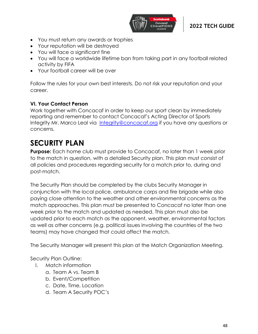

- You must return any awards or trophies
- Your reputation will be destroyed
- You will face a significant fine
- You will face a worldwide lifetime ban from taking part in any football related activity by FIFA
- Your football career will be over

Follow the rules for your own best interests. Do not risk your reputation and your career.

#### **VI. Your Contact Person**

Work together with Concacaf in order to keep our sport clean by immediately reporting and remember to contact Concacaf's Acting Director of Sports Integrity Mr. Marco Leal via [Integrity@concacaf.org](mailto:Integrity@concacaf.org) if you have any questions or concerns.

# **SECURITY PLAN**

**Purpose:** Each home club must provide to Concacaf, no later than 1 week prior to the match in question, with a detailed Security plan. This plan must consist of all policies and procedures regarding security for a match prior to, during and post-match.

The Security Plan should be completed by the clubs Security Manager in conjunction with the local police, ambulance corps and fire brigade while also paying close attention to the weather and other environmental concerns as the match approaches. This plan must be presented to Concacaf no later than one week prior to the match and updated as needed. This plan must also be updated prior to each match as the opponent, weather, environmental factors as well as other concerns (e.g. political issues involving the countries of the two teams) may have changed that could affect the match.

The Security Manager will present this plan at the Match Organization Meeting.

Security Plan Outline:

- I. Match information
	- a. Team A vs. Team B
	- b. Event/Competition
	- c. Date, Time, Location
	- d. Team A Security POC's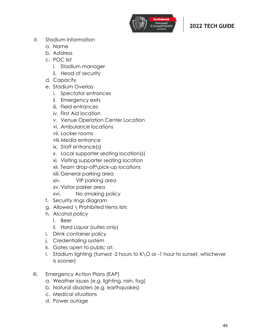

- II. Stadium Information
	- a. Name
	- b. Address
	- c. POC list
		- i. Stadium manager
		- ii. Head of security
	- d. Capacity
	- e. Stadium Overlay
		- i. Spectator entrances
		- ii. Emergency exits
		- iii. Field entrances
		- iv. First Aid location
		- v. Venue Operation Center Location
		- vi. Ambulance locations
		- vii. Locker rooms
		- viii.Media entrance
		- ix. Staff entrance(s)
		- x. Local supporter seating location(s)
		- xi. Visiting supporter seating location
		- xii. Team drop-off\pick-up locations
		- xiii.General parking area
		- xiv. VIP parking area
		- xv. Visitor parker area
		- xvi. No smoking policy
	- f. Security rings diagram
	- g. Allowed \ Prohibited items lists
	- h. Alcohol policy
		- i. Beer
		- ii. Hard Liquor (suites only)
	- i. Drink container policy
	- j. Credentialing system
	- k. Gates open to public at:
	- l. Stadium lighting (turned -2 hours to K\O or -1 hour to sunset, whichever is sooner)
- III. Emergency Action Plans (EAP)
	- a. Weather issues (e.g. lighting, rain, fog)
	- b. Natural disasters (e.g. earthquakes)
	- c. Medical situations
	- d. Power outage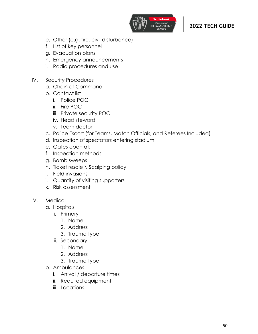

- e. Other (e.g. fire, civil disturbance)
- f. List of key personnel
- g. Evacuation plans
- h. Emergency announcements
- i. Radio procedures and use
- IV. Security Procedures
	- a. Chain of Command
	- b. Contact list
		- i. Police POC
		- ii. Fire POC
		- iii. Private security POC
		- iv. Head steward
		- v. Team doctor
	- c. Police Escort (for Teams, Match Officials, and Referees Included)
	- d. Inspection of spectators entering stadium
	- e. Gates open at:
	- f. Inspection methods
	- g. Bomb sweeps
	- h. Ticket resale \ Scalping policy
	- i. Field invasions
	- j. Quantity of visiting supporters
	- k. Risk assessment
- V. Medical
	- a. Hospitals
		- i. Primary
			- 1. Name
			- 2. Address
			- 3. Trauma type
		- ii. Secondary
			- 1. Name
			- 2. Address
			- 3. Trauma type
	- b. Ambulances
		- i. Arrival / departure times
		- ii. Required equipment
		- iii. Locations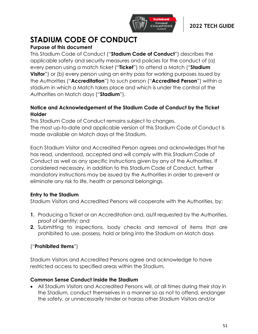

# **STADIUM CODE OF CONDUCT**

# **Purpose of this document**

This Stadium Code of Conduct ("**Stadium Code of Conduct**") describes the applicable safety and security measures and policies for the conduct of (a) every person using a match ticket ("**Ticket**") to attend a Match ("**Stadium Visitor**") or (b) every person using an entry pass for working purposes issued by the Authorities ("**Accreditation**") to such person ("**Accredited Person**") within a stadium in which a Match takes place and which is under the control of the Authorities on Match days ("**Stadium**").

#### **Notice and Acknowledgement of the Stadium Code of Conduct by the Ticket Holder**

This Stadium Code of Conduct remains subject to changes.

The most up-to-date and applicable version of this Stadium Code of Conduct is made available on Match days at the Stadium.

Each Stadium Visitor and Accredited Person agrees and acknowledges that he has read, understood, accepted and will comply with this Stadium Code of Conduct as well as any specific instructions given by any of the Authorities. If considered necessary, in addition to this Stadium Code of Conduct, further mandatory instructions may be issued by the Authorities in order to prevent or eliminate any risk to life, health or personal belongings.

### **Entry to the Stadium**

Stadium Visitors and Accredited Persons will cooperate with the Authorities, by:

- **1.** Producing a Ticket or an Accreditation and, as/if requested by the Authorities, proof of identity; and
- **2.** Submitting to inspections, body checks and removal of items that are prohibited to use, possess, hold or bring into the Stadium on Match days

### ("**Prohibited Items**")

Stadium Visitors and Accredited Persons agree and acknowledge to have restricted access to specified areas within the Stadium,

#### **Common Sense Conduct Inside the Stadium**

• All Stadium Visitors and Accredited Persons will, at all times during their stay in the Stadium, conduct themselves in a manner so as not to offend, endanger the safety, or unnecessarily hinder or harass other Stadium Visitors and/or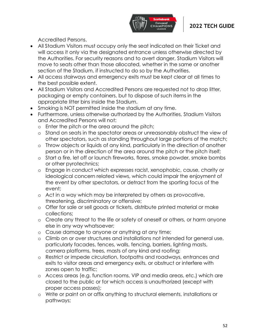

Accredited Persons.

- All Stadium Visitors must occupy only the seat indicated on their Ticket and will access it only via the designated entrance unless otherwise directed by the Authorities. For security reasons and to avert danger, Stadium Visitors will move to seats other than those allocated, whether in the same or another section of the Stadium, if instructed to do so by the Authorities.
- All access stairways and emergency exits must be kept clear at all times to the best possible extent.
- All Stadium Visitors and Accredited Persons are requested not to drop litter, packaging or empty containers, but to dispose of such items in the appropriate litter bins inside the Stadium.
- Smoking is NOT permitted inside the stadium at any time.
- Furthermore, unless otherwise authorized by the Authorities, Stadium Visitors and Accredited Persons will not:
	- o Enter the pitch or the area around the pitch;
	- o Stand on seats in the spectator areas or unreasonably obstruct the view of other spectators, such as standing throughout large portions of the match;
	- o Throw objects or liquids of any kind, particularly in the direction of another person or in the direction of the area around the pitch or the pitch itself;
	- o Start a fire, let off or launch fireworks, flares, smoke powder, smoke bombs or other pyrotechnics;
	- o Engage in conduct which expresses racist, xenophobic, cause, charity or ideological concern related views, which could impair the enjoyment of the event by other spectators, or detract from the sporting focus of the event;
	- o Act in a way which may be interpreted by others as provocative, threatening, discriminatory or offensive;
	- o Offer for sale or sell goods or tickets, distribute printed material or make collections;
	- o Create any threat to the life or safety of oneself or others, or harm anyone else in any way whatsoever;
	- o Cause damage to anyone or anything at any time;
	- o Climb on or over structures and installations not intended for general use, particularly facades, fences, walls, fencing, barriers, lighting masts, camera platforms, trees, masts of any kind and roofing;
	- o Restrict or impede circulation, footpaths and roadways, entrances and exits to visitor areas and emergency exits, or obstruct or interfere with zones open to traffic;
	- o Access areas (e.g. function rooms, VIP and media areas, etc.) which are closed to the public or for which access is unauthorized (except with proper access passes);
	- o Write or paint on or affix anything to structural elements, installations or pathways;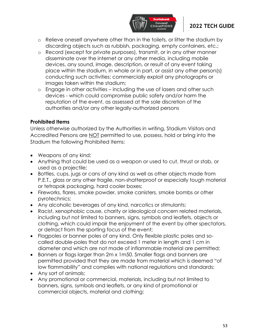

- o Relieve oneself anywhere other than in the toilets, or litter the stadium by discarding objects such as rubbish, packaging, empty containers, etc.;
- o Record (except for private purposes), transmit, or in any other manner disseminate over the internet or any other media, including mobile devices, any sound, image, description, or result of any event taking place within the stadium, in whole or in part, or assist any other person(s) conducting such activities; commercially exploit any photographs or images taken within the stadium;
- o Engage in other activities including the use of lasers and other such devices - which could compromise public safety and/or harm the reputation of the event, as assessed at the sole discretion of the authorities and/or any other legally-authorized persons

#### **Prohibited Items**

Unless otherwise authorized by the Authorities in writing, Stadium Visitors and Accredited Persons are NOT permitted to use, possess, hold or bring into the Stadium the following Prohibited Items:

- Weapons of any kind;
- Anything that could be used as a weapon or used to cut, thrust or stab, or used as a projectile;
- Bottles, cups, jugs or cans of any kind as well as other objects made from P.E.T., glass or any other fragile, non-shatterproof or especially tough material or tetrapak packaging, hard cooler boxes;
- Fireworks, flares, smoke powder, smoke canisters, smoke bombs or other pyrotechnics;
- Any alcoholic beverages of any kind, narcotics or stimulants;
- Racist, xenophobic cause, charity or ideological concern related materials, including but not limited to banners, signs, symbols and leaflets, objects or clothing, which could impair the enjoyment of the event by other spectators, or detract from the sporting focus of the event;
- Flagpoles or banner poles of any kind. Only flexible plastic poles and socalled double-poles that do not exceed 1 meter in length and 1 cm in diameter and which are not made of inflammable material are permitted;
- Banners or flags larger than 2m x 1m50. Smaller flags and banners are permitted provided that they are made from material which is deemed "of low flammability" and complies with national regulations and standards;
- Any sort of animals;
- Any promotional or commercial, materials, including but not limited to banners, signs, symbols and leaflets, or any kind of promotional or commercial objects, material and clothing;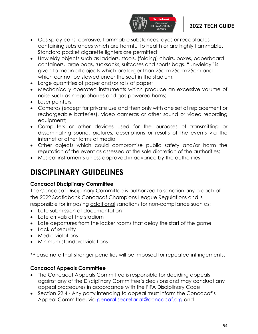

- Gas spray cans, corrosive, flammable substances, dyes or receptacles containing substances which are harmful to health or are highly flammable. Standard pocket cigarette lighters are permitted;
- Unwieldy objects such as ladders, stools, (folding) chairs, boxes, paperboard containers, large bags, rucksacks, suitcases and sports bags. "Unwieldy" is given to mean all objects which are larger than 25cmx25cmx25cm and which cannot be stowed under the seat in the stadium;
- Large quantities of paper and/or rolls of paper;
- Mechanically operated instruments which produce an excessive volume of noise such as megaphones and gas-powered horns;
- Laser pointers;
- Cameras (except for private use and then only with one set of replacement or rechargeable batteries), video cameras or other sound or video recording equipment;
- Computers or other devices used for the purposes of transmitting or disseminating sound, pictures, descriptions or results of the events via the internet or other forms of media;
- Other objects which could compromise public safety and/or harm the reputation of the event as assessed at the sole discretion of the authorities;
- Musical instruments unless approved in advance by the authorities

# **DISCIPLINARY GUIDELINES**

#### **Concacaf Disciplinary Committee**

The Concacaf Disciplinary Committee is authorized to sanction any breach of the 2022 Scotiabank Concacaf Champions League Regulations and is responsible for imposing additional sanctions for non-compliance such as:

- Late submission of documentation
- Late arrivals at the stadium
- Late departures from the locker rooms that delay the start of the game
- Lack of security
- Media violations
- Minimum standard violations

\*Please note that stronger penalties will be imposed for repeated infringements.

#### **Concacaf Appeals Committee**

- The Concacaf Appeals Committee is responsible for deciding appeals against any of the Disciplinary Committee's decisions and may conduct any appeal procedures in accordance with the FIFA Disciplinary Code
- Section 22.4 Any party intending to appeal must inform the Concacaf's Appeal Committee, via [general.secretariat@concacaf.org](mailto:general.secretariat@concacaf.org) and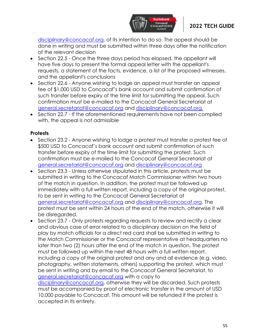

disciplinary@concacaf.org, of its intention to do so. The appeal should be done in writing and must be submitted within three days after the notification of the relevant decision

- Section 22.5 Once the three days period has elapsed, the appellant will have five days to present the formal appeal letter with the appellant's requests, a statement of the facts, evidence, a list of the proposed witnesses, and the appellant's conclusions
- Section 22.6 Anyone wishing to lodge an appeal must transfer an appeal fee of \$1,000 USD to Concacaf's bank account and submit confirmation of such transfer before expiry of the time limit for submitting the appeal. Such confirmation must be e-mailed to the Concacaf General Secretariat at [general.secretariat@concacaf.org](mailto:general.secretariat@concacaf.org) and disciplinary@concacaf.org.
- Section 22.7 If the aforementioned requirements have not been complied with, the appeal is not admissible

#### **Protests**

- Section 23.2 Anyone wishing to lodge a protest must transfer a protest fee of \$500 USD to Concacaf's bank account and submit confirmation of such transfer before expiry of the time limit for submitting the protest. Such confirmation must be e-mailed to the Concacaf General Secretariat at [general.secretariat@concacaf.org](mailto:general.secretariat@concacaf.org) and [disciplinary@concacaf.org](mailto:disciplinary@concacaf.org)
- Section 23.3 Unless otherwise stipulated in this article, protests must be submitted in writing to the Concacaf Match Commissioner within two hours of the match in question. In addition, the protest must be followed up immediately with a full written report, including a copy of the original protest, to be sent in writing to the Concacaf General Secretariat at [general.secretariat@concacaf.org](mailto:general.secretariat@concacaf.org) and disciplinary@concacaf.org. The protest must be sent within 24 hours of the end of the match, otherwise it will be disregarded.
- Section 23.7 Only protests regarding requests to review and rectify a clear and obvious case of error related to a disciplinary decision on the field of play by match officials for a direct red card shall be submitted in writing to the Match Commissioner or the Concacaf representative at headquarters no later than two (2) hours after the end of the match in question. The protest must be followed up within the next 48 hours with a full written report, including a copy of the original protest and any and all evidence (e.g. video, photography, written statements, others) supporting the protest, which must be sent in writing and by email to the Concacaf General Secretariat, to [general.secretariat@concacaf.org](mailto:general.secretariat@concacaf.org) with a copy to [disciplinary@concacaf.org,](mailto:disciplinary@concacaf.org) otherwise they will be discarded. Such protests

must be accompanied by proof of electronic transfer in the amount of USD 10,000 payable to Concacaf. This amount will be refunded if the protest is accepted in its entirety.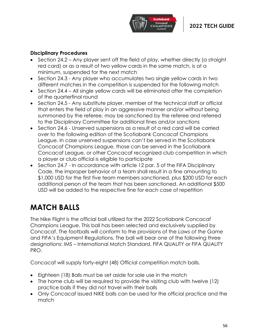

#### **Disciplinary Procedures**

- Section 24.2 Any player sent off the field of play, whether directly (a straight red card) or as a result of two yellow cards in the same match, is at a minimum, suspended for the next match
- Section 24.3 Any player who accumulates two single yellow cards in two different matches in the competition is suspended for the following match
- Section 24.4 All single yellow cards will be eliminated after the completion of the quarterfinal round
- Section 24.5 Any substitute player, member of the technical staff or official that enters the field of play in an aggressive manner and/or without being summoned by the referee, may be sanctioned by the referee and referred to the Disciplinary Committee for additional fines and/or sanctions
- Section 24.6 Unserved suspensions as a result of a red card will be carried over to the following edition of the Scotiabank Concacaf Champions League. In case unserved suspensions can't be served in the Scotiabank Concacaf Champions League, those can be served in the Scotiabank Concacaf League, or other Concacaf recognized club competition in which a player or club official is eligible to participate
- Section 24.7 In accordance with article 12 par. 5 of the FIFA Disciplinary Code, the improper behavior of a team shall result in a fine amounting to \$1,000 USD for the first five team members sanctioned, plus \$200 USD for each additional person of the team that has been sanctioned. An additional \$500 USD will be added to the respective fine for each case of repetition

# **MATCH BALLS**

The Nike Flight is the official ball utilized for the 2022 Scotiabank Concacaf Champions League. This ball has been selected and exclusively supplied by Concacaf. The footballs will conform to the provisions of the *Laws of the Game* and FIFA's Equipment Regulations. The ball will bear one of the following three designations: IMS – International Match Standard, FIFA QUALITY or FIFA QUALITY PRO.

Concacaf will supply forty-eight (48) Official competition match balls.

- Eighteen (18) Balls must be set aside for sole use in the match
- The home club will be required to provide the visiting club with twelve (12) practice balls if they did not travel with their balls
- Only Concacaf issued NIKE balls can be used for the official practice and the match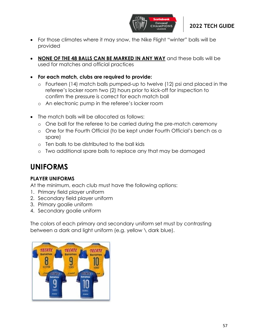

- For those climates where it may snow, the Nike Flight "winter" balls will be provided
- **NONE OF THE 48 BALLS CAN BE MARKED IN ANY WAY** and these balls will be used for matches and official practices
- **For each match, clubs are required to provide:**
	- o Fourteen (14) match balls pumped-up to twelve (12) psi and placed in the referee's locker room two (2) hours prior to kick-off for inspection to confirm the pressure is correct for each match ball
	- o An electronic pump in the referee's locker room
- The match balls will be allocated as follows:
	- o One ball for the referee to be carried during the pre-match ceremony
	- o One for the Fourth Official (to be kept under Fourth Official's bench as a spare)
	- o Ten balls to be distributed to the ball kids
	- o Two additional spare balls to replace any that may be damaged

# **UNIFORMS**

### **PLAYER UNIFORMS**

At the minimum, each club must have the following options:

- 1. Primary field player uniform
- 2. Secondary field player uniform
- 3. Primary goalie uniform
- 4. Secondary goalie uniform

The colors of each primary and secondary uniform set must by contrasting between a dark and light uniform (e.g. yellow \ dark blue).

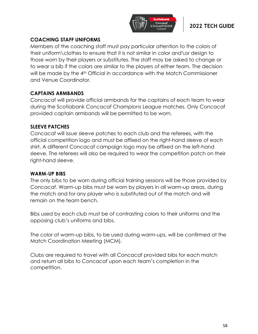

### **COACHING STAFF UNIFORMS**

Members of the coaching staff must pay particular attention to the colors of their uniform\clothes to ensure that it is not similar in color and\or design to those worn by their players or substitutes. The staff may be asked to change or to wear a bib if the colors are similar to the players of either team. The decision will be made by the 4<sup>th</sup> Official in accordance with the Match Commissioner and Venue Coordinator.

#### **CAPTAINS ARMBANDS**

Concacaf will provide official armbands for the captains of each team to wear during the Scotiabank Concacaf Champions League matches. Only Concacaf provided captain armbands will be permitted to be worn.

#### **SLEEVE PATCHES**

Concacaf will issue sleeve patches to each club and the referees, with the official competition logo and must be affixed on the right-hand sleeve of each shirt. A different Concacaf campaign logo may be affixed on the left-hand sleeve. The referees will also be required to wear the competition patch on their right-hand sleeve.

#### **WARM-UP BIBS**

The only bibs to be worn during official training sessions will be those provided by Concacaf. Warm-up bibs must be worn by players in all warm-up areas, during the match and for any player who is substituted out of the match and will remain on the team bench.

Bibs used by each club must be of contrasting colors to their uniforms and the opposing club's uniforms and bibs.

The color of warm-up bibs, to be used during warm-ups, will be confirmed at the Match Coordination Meeting (MCM).

Clubs are required to travel with all Concacaf provided bibs for each match and return all bibs to Concacaf upon each team's completion in the competition.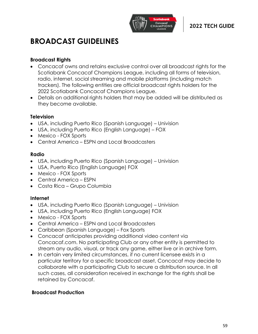

# **BROADCAST GUIDELINES**

#### **Broadcast Rights**

- Concacaf owns and retains exclusive control over all broadcast rights for the Scotiabank Concacaf Champions League, including all forms of television, radio, internet, social streaming and mobile platforms (including match trackers). The following entities are official broadcast rights holders for the 2022 Scotiabank Concacaf Champions League.
- Details on additional rights holders that may be added will be distributed as they become available.

#### **Television**

- USA, including Puerto Rico (Spanish Language) Univision
- USA, including Puerto Rico (English Language) FOX
- Mexico FOX Sports
- Central America ESPN and Local Broadcasters

#### **Radio**

- USA, including Puerto Rico (Spanish Language) Univision
- USA, Puerto Rico (English Language) FOX
- Mexico FOX Sports
- Central America ESPN
- Costa Rica Grupo Columbia

#### **Internet**

- USA, including Puerto Rico (Spanish Language) Univision
- USA, including Puerto Rico (English Language) FOX
- Mexico FOX Sports
- Central America FSPN and Local Broadcasters
- Caribbean (Spanish Language) Fox Sports
- Concacaf anticipates providing additional video content via Concacaf.com. No participating Club or any other entity is permitted to stream any audio, visual, or track any game, either live or in archive form.
- In certain very limited circumstances, if no current licensee exists in a particular territory for a specific broadcast asset, Concacaf may decide to collaborate with a participating Club to secure a distribution source. In all such cases, all consideration received in exchange for the rights shall be retained by Concacaf.

#### **Broadcast Production**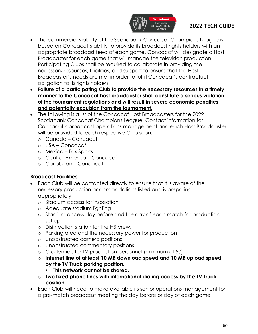

- The commercial viability of the Scotiabank Concacaf Champions League is based on Concacaf's ability to provide its broadcast rights holders with an appropriate broadcast feed of each game. Concacaf will designate a Host Broadcaster for each game that will manage the television production. Participating Clubs shall be required to collaborate in providing the necessary resources, facilities, and support to ensure that the Host Broadcaster's needs are met in order to fulfill Concacaf's contractual obligation to its rights holders.
- **Failure of a participating Club to provide the necessary resources in a timely manner to the Concacaf host broadcaster shall constitute a serious violation of the tournament regulations and will result in severe economic penalties and potentially expulsion from the tournament.**
- The following is a list of the Concacaf Host Broadcasters for the 2022 Scotiabank Concacaf Champions League. Contact information for Concacaf's broadcast operations management and each Host Broadcaster will be provided to each respective Club soon.
	- o Canada Concacaf
	- o USA Concacaf
	- o Mexico Fox Sports
	- o Central America Concacaf
	- o Caribbean Concacaf

#### **Broadcast Facilities**

- Each Club will be contacted directly to ensure that it is aware of the necessary production accommodations listed and is preparing appropriately:
	- o Stadium access for inspection
	- o Adequate stadium lighting
	- o Stadium access day before and the day of each match for production set up
	- o Disinfection station for the HB crew.
	- o Parking area and the necessary power for production
	- o Unobstructed camera positions
	- o Unobstructed commentary positions
	- o Credentials for TV production personnel (minimum of 50)
	- o **Internet line of at least 10 MB download speed and 10 MB upload speed by the TV Truck parking position.**
		- **This network cannot be shared.**
	- o **Two fixed phone lines with international dialing access by the TV Truck position**
- Each Club will need to make available its senior operations management for a pre-match broadcast meeting the day before or day of each game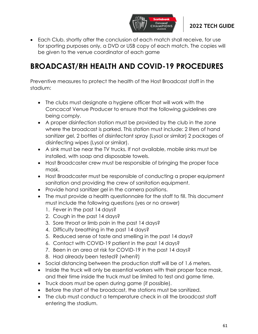

• Each Club, shortly after the conclusion of each match shall receive, for use for sporting purposes only, a DVD or USB copy of each match. The copies will be given to the venue coordinator of each game

# **BROADCAST/RH HEALTH AND COVID-19 PROCEDURES**

Preventive measures to protect the health of the Host Broadcast staff in the stadium:

- The clubs must designate a hygiene officer that will work with the Concacaf Venue Producer to ensure that the following guidelines are being comply.
- A proper disinfection station must be provided by the club in the zone where the broadcast is parked. This station must include: 2 liters of hand sanitizer gel, 2 bottles of disinfectant spray (Lysol or similar) 2 packages of disinfecting wipes (Lysol or similar).
- A sink must be near the TV trucks. If not available, mobile sinks must be installed, with soap and disposable towels.
- Host Broadcaster crew must be responsible of bringing the proper face mask.
- Host Broadcaster must be responsible of conducting a proper equipment sanitation and providing the crew of sanitation equipment.
- Provide hand sanitizer gel in the camera positions.
- The must provide a health questionnaire for the staff to fill. This document must include the following questions (yes or no answer)
	- 1. Fever in the past 14 days?
	- 2. Cough in the past 14 days?
	- 3. Sore throat or limb pain in the past 14 days?
	- 4. Difficulty breathing in the past 14 days?
	- 5. Reduced sense of taste and smelling in the past 14 days?
	- 6. Contact with COVID-19 patient in the past 14 days?
	- 7. Been in an area at risk for COVID-19 in the past 14 days?
	- 8. Had already been tested? (when?)
- Social distancing between the production staff will be of 1.6 meters.
- Inside the truck will only be essential workers with their proper face mask, and their time inside the truck must be limited to test and game time.
- Truck doors must be open during game (if possible).
- Before the start of the broadcast, the stations must be sanitized.
- The club must conduct a temperature check in all the broadcast staff entering the stadium.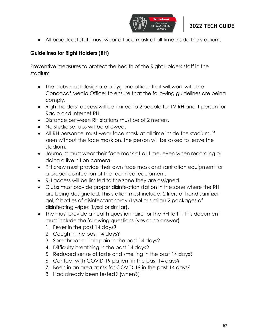

• All broadcast staff must wear a face mask at all time inside the stadium.

# **Guidelines for Right Holders (RH)**

Preventive measures to protect the health of the Right Holders staff in the stadium

- The clubs must designate a hygiene officer that will work with the Concacaf Media Officer to ensure that the following guidelines are being comply.
- Right holders' access will be limited to 2 people for TV RH and 1 person for Radio and Internet RH.
- Distance between RH stations must be of 2 meters.
- No studio set ups will be allowed.
- All RH personnel must wear face mask at all time inside the stadium, if seen without the face mask on, the person will be asked to leave the stadium.
- Journalist must wear their face mask at all time, even when recording or doing a live hit on camera.
- RH crew must provide their own face mask and sanitation equipment for a proper disinfection of the technical equipment.
- RH access will be limited to the zone they are assigned.
- Clubs must provide proper disinfection station in the zone where the RH are being designated. This station must include: 2 liters of hand sanitizer gel, 2 bottles of disinfectant spray (Lysol or similar) 2 packages of disinfecting wipes (Lysol or similar).
- The must provide a health questionnaire for the RH to fill. This document must include the following questions (yes or no answer)
	- 1. Fever in the past 14 days?
	- 2. Cough in the past 14 days?
	- 3. Sore throat or limb pain in the past 14 days?
	- 4. Difficulty breathing in the past 14 days?
	- 5. Reduced sense of taste and smelling in the past 14 days?
	- 6. Contact with COVID-19 patient in the past 14 days?
	- 7. Been in an area at risk for COVID-19 in the past 14 days?
	- 8. Had already been tested? (when?)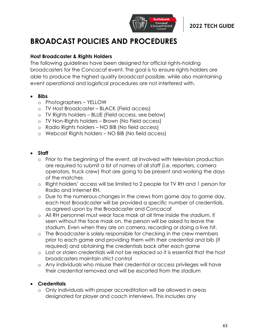

# **BROADCAST POLICIES AND PROCEDURES**

#### **Host Broadcaster & Rights Holders**

The following guidelines have been designed for official rights-holding broadcasters for the Concacaf event. The goal is to ensure rights holders are able to produce the highest quality broadcast possible, while also maintaining event operational and logistical procedures are not interfered with.

- **Bibs**
	- o Photographers YELLOW
	- o TV Host Broadcaster BLACK (Field access)
	- o TV Rights holders BLUE (Field access, see below)
	- o TV Non-Rights holders Brown (No Field access)
	- o Radio Rights holders NO BIB (No field access)
	- o Webcast Rights holders NO BIB (No field access)

#### • **Staff**

- o Prior to the beginning of the event, all involved with television production are required to submit a list of names of all staff (i.e. reporters, camera operators, truck crew) that are going to be present and working the days of the matches
- o Right holders' access will be limited to 2 people for TV RH and 1 person for Radio and Internet RH.
- o Due to the numerous changes in the crews from game day to game day, each Host Broadcaster will be provided a specific number of credentials, as agreed upon by the Broadcaster and Concacaf
- o All RH personnel must wear face mask at all time inside the stadium, if seen without the face mask on, the person will be asked to leave the stadium. Even when they are on camera, recording or doing a live hit.
- o The Broadcaster is solely responsible for checking in the crew members prior to each game and providing them with their credential and bib (if required) and obtaining the credentials back after each game
- o Lost or stolen credentials will not be replaced so it is essential that the host broadcasters maintain strict control
- o Any individuals who misuse their credential or access privileges will have their credential removed and will be escorted from the stadium

#### • **Credentials**

o Only individuals with proper accreditation will be allowed in areas designated for player and coach interviews. This includes any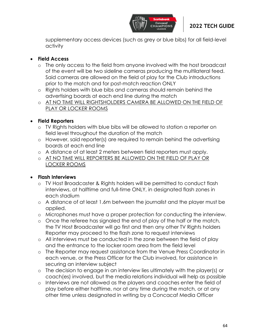

supplementary access devices (such as grey or blue bibs) for all field-level activity

### • **Field Access**

- o The only access to the field from anyone involved with the host broadcast of the event will be two sideline cameras producing the multilateral feed. Said cameras are allowed on the field of play for the Club introductions prior to the match and for post-match reaction ONLY
- o Rights holders with blue bibs and cameras should remain behind the advertising boards at each end line during the match
- o AT NO TIME WILL RIGHTSHOLDERS CAMERA BE ALLOWED ON THE FIELD OF PLAY OR LOCKER ROOMS

#### • **Field Reporters**

- o TV Rights holders with blue bibs will be allowed to station a reporter on field level throughout the duration of the match
- o However, said reporter(s) are required to remain behind the advertising boards at each end line
- o A distance of at least 2 meters between field reporters must apply.
- o AT NO TIME WILL REPORTERS BE ALLOWED ON THE FIELD OF PLAY OR LOCKER ROOMS

### • **Flash Interviews**

- o TV Host Broadcaster & Rights holders will be permitted to conduct flash interviews, at halftime and full-time ONLY, in designated flash zones in each stadium
- o A distance of at least 1.6m between the journalist and the player must be applied.
- o Microphones must have a proper protection for conducting the interview.
- o Once the referee has signaled the end of play of the half or the match, the TV Host Broadcaster will go first and then any other TV Rights holders Reporter may proceed to the flash zone to request interviews
- o All interviews must be conducted in the zone between the field of play and the entrance to the locker room area from the field level
- o The Reporter may request assistance from the Venue Press Coordinator in each venue, or the Press Officer for the Club involved, for assistance in securing an interview subject
- o The decision to engage in an interview lies ultimately with the player(s) or coach(es) involved, but the media relations individual will help as possible
- o Interviews are not allowed as the players and coaches enter the field of play before either halftime, nor at any time during the match, or at any other time unless designated in writing by a Concacaf Media Officer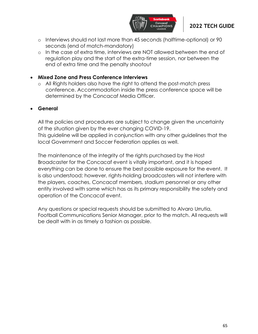

- o Interviews should not last more than 45 seconds (halftime-optional) or 90 seconds (end of match-mandatory)
- o In the case of extra time, interviews are NOT allowed between the end of regulation play and the start of the extra-time session, nor between the end of extra time and the penalty shootout

#### • **Mixed Zone and Press Conference Interviews**

o All Rights holders also have the right to attend the post-match press conference. Accommodation inside the press conference space will be determined by the Concacaf Media Officer.

#### • **General**

All the policies and procedures are subject to change given the uncertainty of the situation given by the ever changing COVID-19. This guideline will be applied in conjunction with any other guidelines that the local Government and Soccer Federation applies as well.

The maintenance of the integrity of the rights purchased by the Host Broadcaster for the Concacaf event is vitally important, and it is hoped everything can be done to ensure the best possible exposure for the event. It is also understood; however, rights-holding broadcasters will not interfere with the players, coaches, Concacaf members, stadium personnel or any other entity involved with same which has as its primary responsibility the safety and operation of the Concacaf event.

Any questions or special requests should be submitted to Alvaro Urrutia, Football Communications Senior Manager, prior to the match. All requests will be dealt with in as timely a fashion as possible.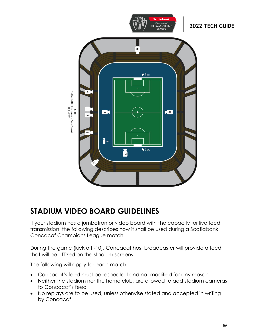

# **STADIUM VIDEO BOARD GUIDELINES**

If your stadium has a jumbotron or video board with the capacity for live feed transmission, the following describes how it shall be used during a Scotiabank Concacaf Champions League match.

During the game (kick off -10), Concacaf host broadcaster will provide a feed that will be utilized on the stadium screens.

The following will apply for each match:

- Concacaf's feed must be respected and not modified for any reason
- Neither the stadium nor the home club, are allowed to add stadium cameras to Concacaf's feed
- No replays are to be used, unless otherwise stated and accepted in writing by Concacaf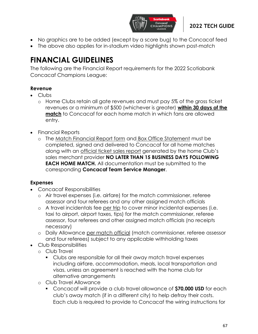

- No graphics are to be added (except by a score bug) to the Concacaf feed
- The above also applies for in-stadium video highlights shown post-match

# **FINANCIAL GUIDELINES**

The following are the Financial Report requirements for the 2022 Scotiabank Concacaf Champions League:

# **Revenue**

- Clubs
	- o Home Clubs retain all gate revenues and must pay 5% of the gross ticket revenues or a minimum of \$500 (whichever is greater) **within 30 days of the match** to Concacaf for each home match in which fans are allowed entry.
- Financial Reports
	- o The Match Financial Report form and Box Office Statement must be completed, signed and delivered to Concacaf for all home matches along with an official ticket sales report generated by the home Club's sales merchant provider **NO LATER THAN 15 BUSINESS DAYS FOLLOWING EACH HOME MATCH.** All documentation must be submitted to the corresponding **Concacaf Team Service Manager**.

### **Expenses**

- Concacaf Responsibilities
	- o Air travel expenses (i.e. airfare) for the match commissioner, referee assessor and four referees and any other assigned match officials
	- o A travel incidentals fee per trip to cover minor incidental expenses (i.e. taxi to airport, airport taxes, tips) for the match commissioner, referee assessor, four referees and other assigned match officials (no receipts necessary)
	- o Daily Allowance per match official (match commissioner, referee assessor and four referees) subject to any applicable withholding taxes
- Club Responsibilities
	- o Club Travel
		- Clubs are responsible for all their away match travel expenses including airfare, accommodation, meals, local transportation and visas, unless an agreement is reached with the home club for alternative arrangements
	- o Club Travel Allowance
		- Concacaf will provide a club travel allowance of **\$70,000 USD** for each club's away match (if in a different city) to help defray their costs. Each club is required to provide to Concacaf the wiring instructions for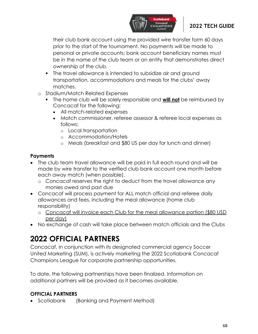

their club bank account using the provided wire transfer form 60 days prior to the start of the tournament. No payments will be made to personal or private accounts; bank account beneficiary names must be in the name of the club team or an entity that demonstrates direct ownership of the club.

- The travel allowance is intended to subsidize air and ground transportation, accommodations and meals for the clubs' away matches.
- o Stadium/Match Related Expenses
	- The home club will be solely responsible and **will not** be reimbursed by Concacaf for the following:
		- All match-related expenses
		- Match commissioner, referee assessor & referee local expenses as follows:
			- o Local transportation
			- o Accommodation/Hotels
			- o Meals (breakfast and \$80 US per day for lunch and dinner)

#### **Payments**

- The club team travel allowance will be paid in full each round and will be made by wire transfer to the verified club bank account one month before each away match (when possible).
	- o Concacaf reserves the right to deduct from the travel allowance any monies owed and past due
- Concacaf will process payment for ALL match official and referee daily allowances and fees, including the meal allowance (home club responsibility)
	- o Concacaf will invoice each Club for the meal allowance portion (\$80 USD per day)
- No exchange of cash will take place between match officials and the Clubs

# **2022 OFFICIAL PARTNERS**

Concacaf, in conjunction with its designated commercial agency Soccer United Marketing (SUM), is actively marketing the 2022 Scotiabank Concacaf Champions League for corporate partnership opportunities.

To date, the following partnerships have been finalized. Information on additional partners will be provided as it becomes available.

#### **OFFICIAL PARTNERS**

• Scotiabank (Banking and Payment Method)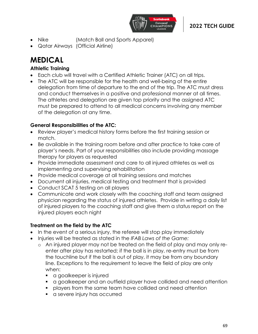

- Nike (Match Ball and Sports Apparel)
- Qatar Airways (Official Airline)

# **MEDICAL**

### **Athletic Training**

- Each club will travel with a Certified Athletic Trainer (ATC) on all trips.
- The ATC will be responsible for the health and well-being of the entire delegation from time of departure to the end of the trip. The ATC must dress and conduct themselves in a positive and professional manner at all times. The athletes and delegation are given top priority and the assigned ATC must be prepared to attend to all medical concerns involving any member of the delegation at any time.

### **General Responsibilities of the ATC:**

- Review player's medical history forms before the first training session or match.
- Be available in the training room before and after practice to take care of player's needs. Part of your responsibilities also include providing massage therapy for players as requested
- Provide immediate assessment and care to all injured athletes as well as implementing and supervising rehabilitation
- Provide medical coverage at all training sessions and matches
- Document all injuries, medical testing and treatment that is provided
- Conduct SCAT 5 testing on all players
- Communicate and work closely with the coaching staff and team assigned physician regarding the status of injured athletes. Provide in writing a daily list of injured players to the coaching staff and give them a status report on the injured players each night

### **Treatment on the field by the ATC**

- In the event of a serious injury, the referee will stop play immediately
- Injuries will be treated as stated in the *IFAB Laws of the Game:*
	- o An injured player may not be treated on the field of play and may only reenter after play has restarted; if the ball is in play, re-entry must be from the touchline but if the ball is out of play, it may be from any boundary line. Exceptions to the requirement to leave the field of play are only when:
		- a goalkeeper is injured
		- a goalkeeper and an outfield player have collided and need attention
		- players from the same team have collided and need attention
		- **EXEC** injury has occurred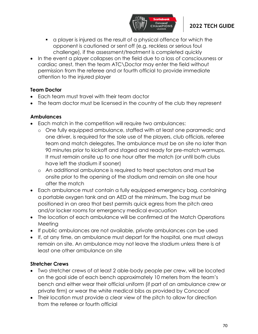

- a player is injured as the result of a physical offence for which the opponent is cautioned or sent off (e.g. reckless or serious foul challenge), if the assessment/treatment is completed quickly
- In the event a player collapses on the field due to a loss of consciousness or cardiac arrest, then the team ATC\Doctor may enter the field without permission from the referee and or fourth official to provide immediate attention to the injured player

#### **Team Doctor**

- Each team must travel with their team doctor
- The team doctor must be licensed in the country of the club they represent

#### **Ambulances**

- Each match in the competition will require two ambulances:
	- o One fully equipped ambulance, staffed with at least one paramedic and one driver, is required for the sole use of the players, club officials, referee team and match delegates. The ambulance must be on site no later than 90 minutes prior to kickoff and staged and ready for pre-match warmups. It must remain onsite up to one hour after the match (or until both clubs have left the stadium if sooner)
	- o An additional ambulance is required to treat spectators and must be onsite prior to the opening of the stadium and remain on site one hour after the match
- Each ambulance must contain a fully equipped emergency bag, containing a portable oxygen tank and an AED at the minimum. The bag must be positioned in an area that best permits quick egress from the pitch area and/or locker rooms for emergency medical evacuation
- The location of each ambulance will be confirmed at the Match Operations Meeting
- If public ambulances are not available, private ambulances can be used
- If, at any time, an ambulance must depart for the hospital, one must always remain on site. An ambulance may not leave the stadium unless there is at least one other ambulance on site

### **Stretcher Crews**

- Two stretcher crews of at least 2 able-body people per crew, will be located on the goal side of each bench approximately 10 meters from the team's bench and either wear their official uniform (if part of an ambulance crew or private firm) or wear the white medical bibs as provided by Concacaf
- Their location must provide a clear view of the pitch to allow for direction from the referee or fourth official